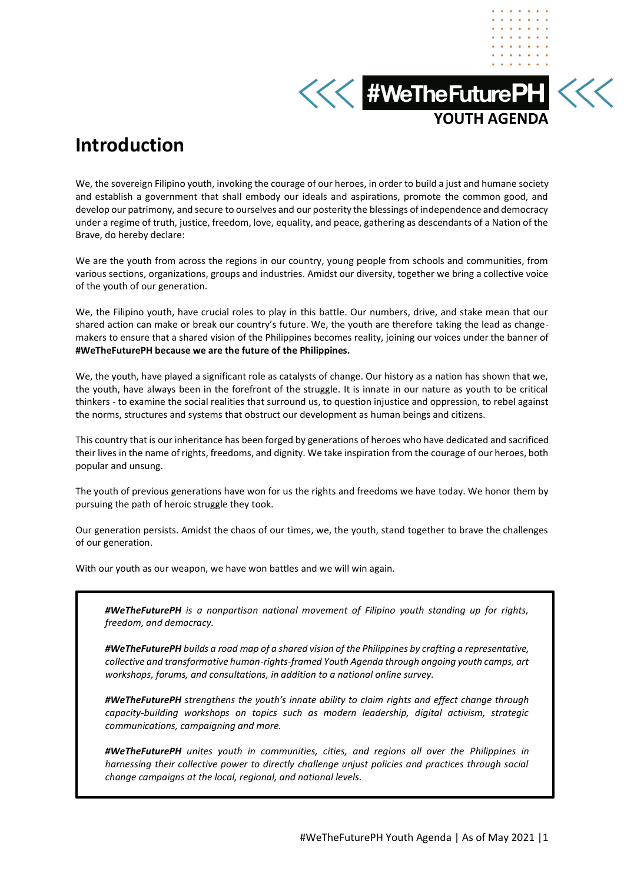**KKK #WeTheFuturePH KKK YOUTH AGENDA** 

# **Introduction**

We, the sovereign Filipino youth, invoking the courage of our heroes, in order to build a just and humane society and establish a government that shall embody our ideals and aspirations, promote the common good, and develop our patrimony, and secure to ourselves and our posterity the blessings of independence and democracy under a regime of truth, justice, freedom, love, equality, and peace, gathering as descendants of a Nation of the Brave, do hereby declare:

We are the youth from across the regions in our country, young people from schools and communities, from various sections, organizations, groups and industries. Amidst our diversity, together we bring a collective voice of the youth of our generation.

We, the Filipino youth, have crucial roles to play in this battle. Our numbers, drive, and stake mean that our shared action can make or break our country's future. We, the youth are therefore taking the lead as changemakers to ensure that a shared vision of the Philippines becomes reality, joining our voices under the banner of **#WeTheFuturePH because we are the future of the Philippines.**

We, the youth, have played a significant role as catalysts of change. Our history as a nation has shown that we, the youth, have always been in the forefront of the struggle. It is innate in our nature as youth to be critical thinkers - to examine the social realities that surround us, to question injustice and oppression, to rebel against the norms, structures and systems that obstruct our development as human beings and citizens.

This country that is our inheritance has been forged by generations of heroes who have dedicated and sacrificed their lives in the name of rights, freedoms, and dignity. We take inspiration from the courage of our heroes, both popular and unsung.

The youth of previous generations have won for us the rights and freedoms we have today. We honor them by pursuing the path of heroic struggle they took.

Our generation persists. Amidst the chaos of our times, we, the youth, stand together to brave the challenges of our generation.

With our youth as our weapon, we have won battles and we will win again.

*#WeTheFuturePH is a nonpartisan national movement of Filipino youth standing up for rights, freedom, and democracy.*

*#WeTheFuturePH builds a road map of a shared vision of the Philippines by crafting a representative, collective and transformative human-rights-framed Youth Agenda through ongoing youth camps, art workshops, forums, and consultations, in addition to a national online survey.*

*#WeTheFuturePH strengthens the youth's innate ability to claim rights and effect change through capacity-building workshops on topics such as modern leadership, digital activism, strategic communications, campaigning and more.*

*#WeTheFuturePH unites youth in communities, cities, and regions all over the Philippines in harnessing their collective power to directly challenge unjust policies and practices through social change campaigns at the local, regional, and national levels.*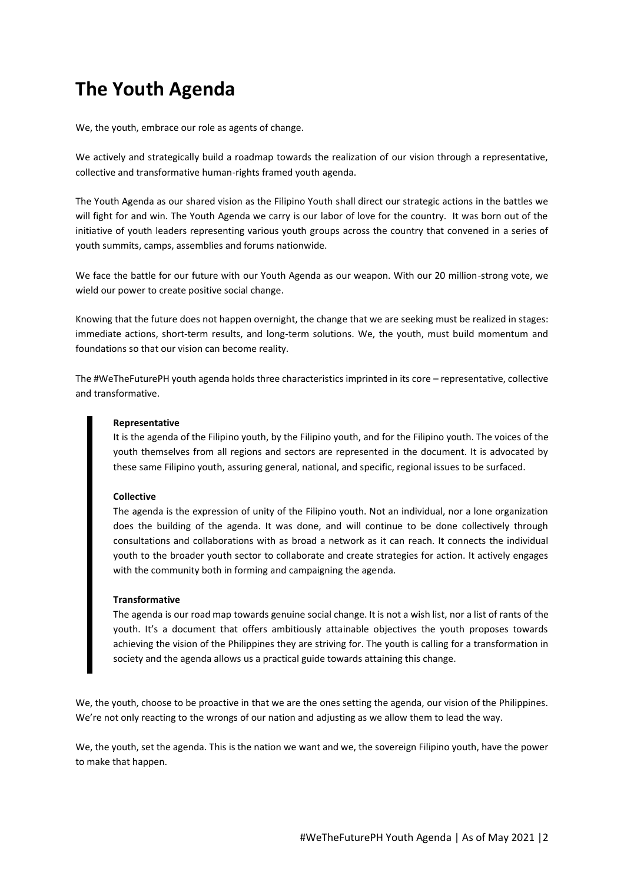# **The Youth Agenda**

We, the youth, embrace our role as agents of change.

We actively and strategically build a roadmap towards the realization of our vision through a representative, collective and transformative human-rights framed youth agenda.

The Youth Agenda as our shared vision as the Filipino Youth shall direct our strategic actions in the battles we will fight for and win. The Youth Agenda we carry is our labor of love for the country. It was born out of the initiative of youth leaders representing various youth groups across the country that convened in a series of youth summits, camps, assemblies and forums nationwide.

We face the battle for our future with our Youth Agenda as our weapon. With our 20 million-strong vote, we wield our power to create positive social change.

Knowing that the future does not happen overnight, the change that we are seeking must be realized in stages: immediate actions, short-term results, and long-term solutions. We, the youth, must build momentum and foundations so that our vision can become reality.

The #WeTheFuturePH youth agenda holds three characteristics imprinted in its core – representative, collective and transformative.

#### **Representative**

It is the agenda of the Filipino youth, by the Filipino youth, and for the Filipino youth. The voices of the youth themselves from all regions and sectors are represented in the document. It is advocated by these same Filipino youth, assuring general, national, and specific, regional issues to be surfaced.

#### **Collective**

The agenda is the expression of unity of the Filipino youth. Not an individual, nor a lone organization does the building of the agenda. It was done, and will continue to be done collectively through consultations and collaborations with as broad a network as it can reach. It connects the individual youth to the broader youth sector to collaborate and create strategies for action. It actively engages with the community both in forming and campaigning the agenda.

#### **Transformative**

The agenda is our road map towards genuine social change. It is not a wish list, nor a list of rants of the youth. It's a document that offers ambitiously attainable objectives the youth proposes towards achieving the vision of the Philippines they are striving for. The youth is calling for a transformation in society and the agenda allows us a practical guide towards attaining this change.

We, the youth, choose to be proactive in that we are the ones setting the agenda, our vision of the Philippines. We're not only reacting to the wrongs of our nation and adjusting as we allow them to lead the way.

We, the youth, set the agenda. This is the nation we want and we, the sovereign Filipino youth, have the power to make that happen.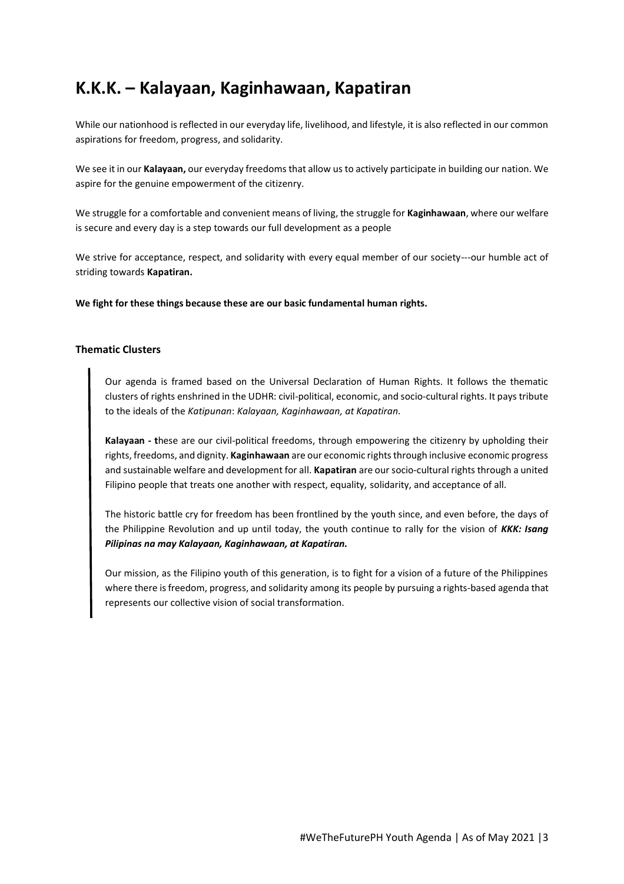# **K.K.K. – Kalayaan, Kaginhawaan, Kapatiran**

While our nationhood is reflected in our everyday life, livelihood, and lifestyle, it is also reflected in our common aspirations for freedom, progress, and solidarity.

We see it in our **Kalayaan,** our everyday freedoms that allow us to actively participate in building our nation. We aspire for the genuine empowerment of the citizenry.

We struggle for a comfortable and convenient means of living, the struggle for **Kaginhawaan**, where our welfare is secure and every day is a step towards our full development as a people

We strive for acceptance, respect, and solidarity with every equal member of our society---our humble act of striding towards **Kapatiran.**

**We fight for these things because these are our basic fundamental human rights.**

#### **Thematic Clusters**

Our agenda is framed based on the Universal Declaration of Human Rights. It follows the thematic clusters of rights enshrined in the UDHR: civil-political, economic, and socio-cultural rights. It pays tribute to the ideals of the *Katipunan*: *Kalayaan, Kaginhawaan, at Kapatiran.* 

**Kalayaan - t**hese are our civil-political freedoms, through empowering the citizenry by upholding their rights, freedoms, and dignity. **Kaginhawaan** are our economic rights through inclusive economic progress and sustainable welfare and development for all. **Kapatiran** are our socio-cultural rights through a united Filipino people that treats one another with respect, equality, solidarity, and acceptance of all.

The historic battle cry for freedom has been frontlined by the youth since, and even before, the days of the Philippine Revolution and up until today, the youth continue to rally for the vision of *KKK: Isang Pilipinas na may Kalayaan, Kaginhawaan, at Kapatiran.*

Our mission, as the Filipino youth of this generation, is to fight for a vision of a future of the Philippines where there is freedom, progress, and solidarity among its people by pursuing a rights-based agenda that represents our collective vision of social transformation.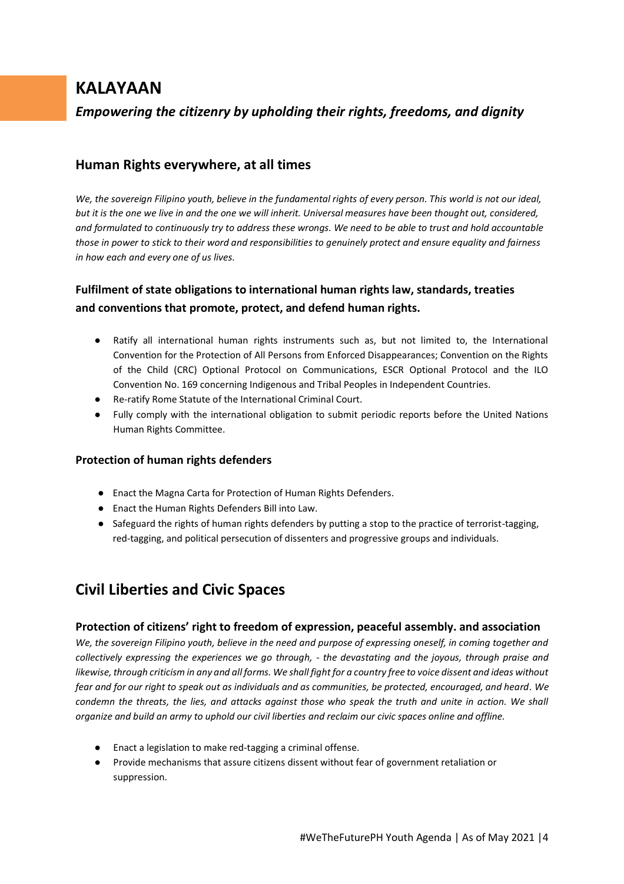# **KALAYAAN**

*Empowering the citizenry by upholding their rights, freedoms, and dignity*

## **Human Rights everywhere, at all times**

*We, the sovereign Filipino youth, believe in the fundamental rights of every person. This world is not our ideal, but it is the one we live in and the one we will inherit. Universal measures have been thought out, considered, and formulated to continuously try to address these wrongs. We need to be able to trust and hold accountable those in power to stick to their word and responsibilities to genuinely protect and ensure equality and fairness in how each and every one of us lives.*

## **Fulfilment of state obligations to international human rights law, standards, treaties and conventions that promote, protect, and defend human rights.**

- Ratify all international human rights instruments such as, but not limited to, the International Convention for the Protection of All Persons from Enforced Disappearances; Convention on the Rights of the Child (CRC) Optional Protocol on Communications, ESCR Optional Protocol and the ILO Convention No. 169 concerning Indigenous and Tribal Peoples in Independent Countries.
- Re-ratify Rome Statute of the International Criminal Court.
- Fully comply with the international obligation to submit periodic reports before the United Nations Human Rights Committee.

### **Protection of human rights defenders**

- Enact the Magna Carta for Protection of Human Rights Defenders.
- Enact the Human Rights Defenders Bill into Law.
- Safeguard the rights of human rights defenders by putting a stop to the practice of terrorist-tagging, red-tagging, and political persecution of dissenters and progressive groups and individuals.

# **Civil Liberties and Civic Spaces**

### **Protection of citizens' right to freedom of expression, peaceful assembly. and association**

*We, the sovereign Filipino youth, believe in the need and purpose of expressing oneself, in coming together and collectively expressing the experiences we go through, - the devastating and the joyous, through praise and likewise, through criticism in any and all forms. We shall fight for a country free to voice dissent and ideas without fear and for our right to speak out as individuals and as communities, be protected, encouraged, and heard. We condemn the threats, the lies, and attacks against those who speak the truth and unite in action. We shall organize and build an army to uphold our civil liberties and reclaim our civic spaces online and offline.*

- Enact a legislation to make red-tagging a criminal offense.
- Provide mechanisms that assure citizens dissent without fear of government retaliation or suppression.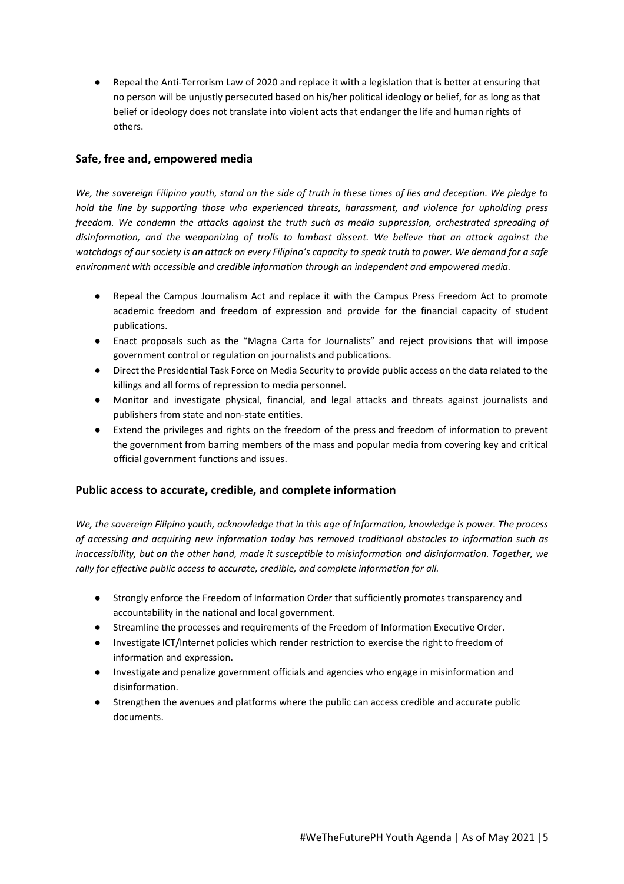Repeal the Anti-Terrorism Law of 2020 and replace it with a legislation that is better at ensuring that no person will be unjustly persecuted based on his/her political ideology or belief, for as long as that belief or ideology does not translate into violent acts that endanger the life and human rights of others.

## **Safe, free and, empowered media**

*We, the sovereign Filipino youth, stand on the side of truth in these times of lies and deception. We pledge to hold the line by supporting those who experienced threats, harassment, and violence for upholding press freedom. We condemn the attacks against the truth such as media suppression, orchestrated spreading of disinformation, and the weaponizing of trolls to lambast dissent. We believe that an attack against the watchdogs of our society is an attack on every Filipino's capacity to speak truth to power. We demand for a safe environment with accessible and credible information through an independent and empowered media.*

- Repeal the Campus Journalism Act and replace it with the Campus Press Freedom Act to promote academic freedom and freedom of expression and provide for the financial capacity of student publications.
- Enact proposals such as the "Magna Carta for Journalists" and reject provisions that will impose government control or regulation on journalists and publications.
- Direct the Presidential Task Force on Media Security to provide public access on the data related to the killings and all forms of repression to media personnel.
- Monitor and investigate physical, financial, and legal attacks and threats against journalists and publishers from state and non-state entities.
- Extend the privileges and rights on the freedom of the press and freedom of information to prevent the government from barring members of the mass and popular media from covering key and critical official government functions and issues.

### **Public access to accurate, credible, and complete information**

*We, the sovereign Filipino youth, acknowledge that in this age of information, knowledge is power. The process of accessing and acquiring new information today has removed traditional obstacles to information such as inaccessibility, but on the other hand, made it susceptible to misinformation and disinformation. Together, we rally for effective public access to accurate, credible, and complete information for all.*

- Strongly enforce the Freedom of Information Order that sufficiently promotes transparency and accountability in the national and local government.
- Streamline the processes and requirements of the Freedom of Information Executive Order.
- Investigate ICT/Internet policies which render restriction to exercise the right to freedom of information and expression.
- Investigate and penalize government officials and agencies who engage in misinformation and disinformation.
- Strengthen the avenues and platforms where the public can access credible and accurate public documents.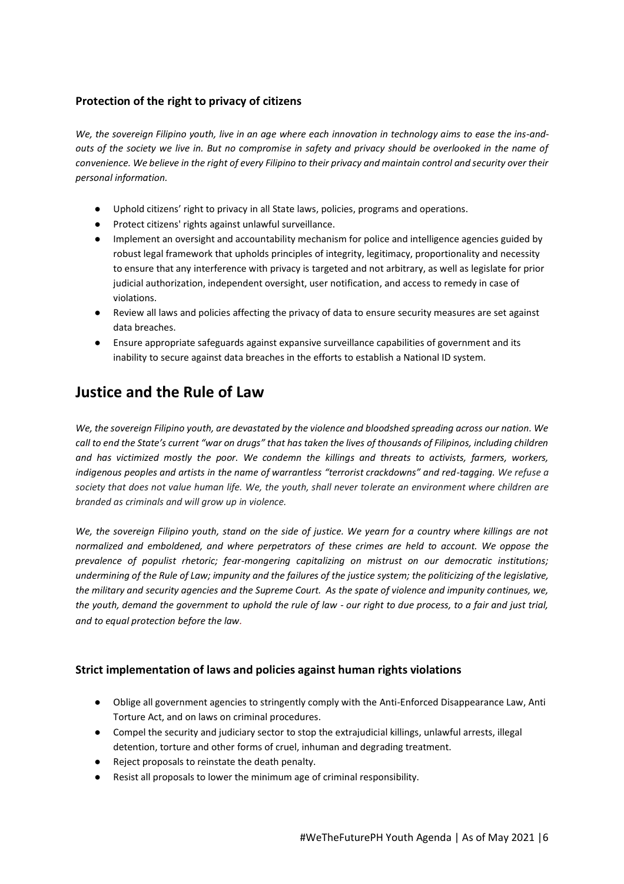## **Protection of the right to privacy of citizens**

*We, the sovereign Filipino youth, live in an age where each innovation in technology aims to ease the ins-andouts of the society we live in. But no compromise in safety and privacy should be overlooked in the name of convenience. We believe in the right of every Filipino to their privacy and maintain control and security over their personal information.* 

- Uphold citizens' right to privacy in all State laws, policies, programs and operations.
- Protect citizens' rights against unlawful surveillance.
- Implement an oversight and accountability mechanism for police and intelligence agencies guided by robust legal framework that upholds principles of integrity, legitimacy, proportionality and necessity to ensure that any interference with privacy is targeted and not arbitrary, as well as legislate for prior judicial authorization, independent oversight, user notification, and access to remedy in case of violations.
- Review all laws and policies affecting the privacy of data to ensure security measures are set against data breaches.
- Ensure appropriate safeguards against expansive surveillance capabilities of government and its inability to secure against data breaches in the efforts to establish a National ID system.

# **Justice and the Rule of Law**

*We, the sovereign Filipino youth, are devastated by the violence and bloodshed spreading across our nation. We call to end the State's current "war on drugs" that has taken the lives of thousands of Filipinos, including children and has victimized mostly the poor. We condemn the killings and threats to activists, farmers, workers, indigenous peoples and artists in the name of warrantless "terrorist crackdowns" and red-tagging. We refuse a society that does not value human life. We, the youth, shall never tolerate an environment where children are branded as criminals and will grow up in violence.*

*We, the sovereign Filipino youth, stand on the side of justice. We yearn for a country where killings are not normalized and emboldened, and where perpetrators of these crimes are held to account. We oppose the prevalence of populist rhetoric; fear-mongering capitalizing on mistrust on our democratic institutions; undermining of the Rule of Law; impunity and the failures of the justice system; the politicizing of the legislative, the military and security agencies and the Supreme Court. As the spate of violence and impunity continues, we, the youth, demand the government to uphold the rule of law - our right to due process, to a fair and just trial, and to equal protection before the law.*

### **Strict implementation of laws and policies against human rights violations**

- Oblige all government agencies to stringently comply with the Anti-Enforced Disappearance Law, Anti Torture Act, and on laws on criminal procedures.
- Compel the security and judiciary sector to stop the extrajudicial killings, unlawful arrests, illegal detention, torture and other forms of cruel, inhuman and degrading treatment.
- Reject proposals to reinstate the death penalty.
- Resist all proposals to lower the minimum age of criminal responsibility.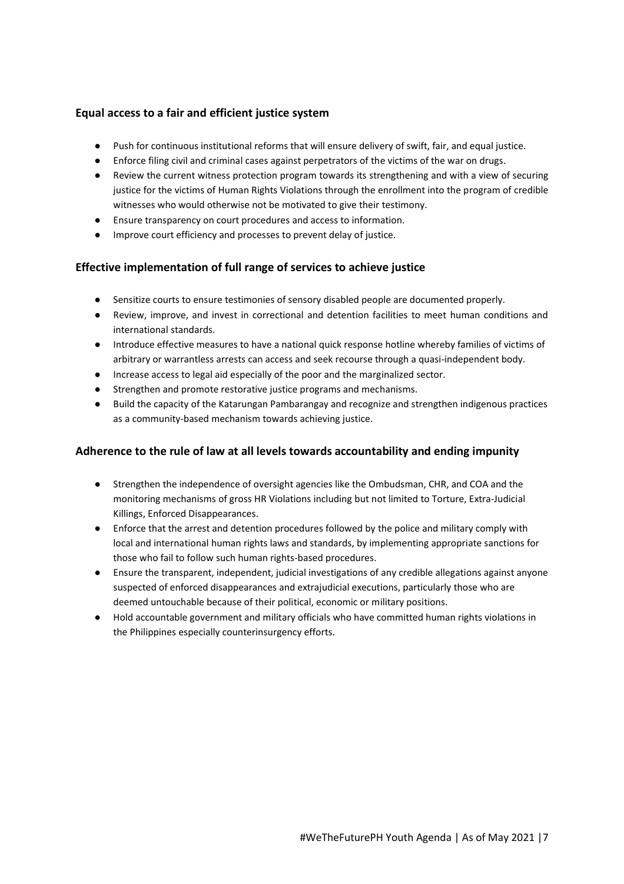### **Equal access to a fair and efficient justice system**

- Push for continuous institutional reforms that will ensure delivery of swift, fair, and equal justice.
- Enforce filing civil and criminal cases against perpetrators of the victims of the war on drugs.
- Review the current witness protection program towards its strengthening and with a view of securing justice for the victims of Human Rights Violations through the enrollment into the program of credible witnesses who would otherwise not be motivated to give their testimony.
- Ensure transparency on court procedures and access to information.
- Improve court efficiency and processes to prevent delay of justice.

## **Effective implementation of full range of services to achieve justice**

- Sensitize courts to ensure testimonies of sensory disabled people are documented properly.
- Review, improve, and invest in correctional and detention facilities to meet human conditions and international standards.
- Introduce effective measures to have a national quick response hotline whereby families of victims of arbitrary or warrantless arrests can access and seek recourse through a quasi-independent body.
- Increase access to legal aid especially of the poor and the marginalized sector.
- Strengthen and promote restorative justice programs and mechanisms.
- Build the capacity of the Katarungan Pambarangay and recognize and strengthen indigenous practices as a community-based mechanism towards achieving justice.

### **Adherence to the rule of law at all levels towards accountability and ending impunity**

- Strengthen the independence of oversight agencies like the Ombudsman, CHR, and COA and the monitoring mechanisms of gross HR Violations including but not limited to Torture, Extra-Judicial Killings, Enforced Disappearances.
- Enforce that the arrest and detention procedures followed by the police and military comply with local and international human rights laws and standards, by implementing appropriate sanctions for those who fail to follow such human rights-based procedures.
- Ensure the transparent, independent, judicial investigations of any credible allegations against anyone suspected of enforced disappearances and extrajudicial executions, particularly those who are deemed untouchable because of their political, economic or military positions.
- Hold accountable government and military officials who have committed human rights violations in the Philippines especially counterinsurgency efforts.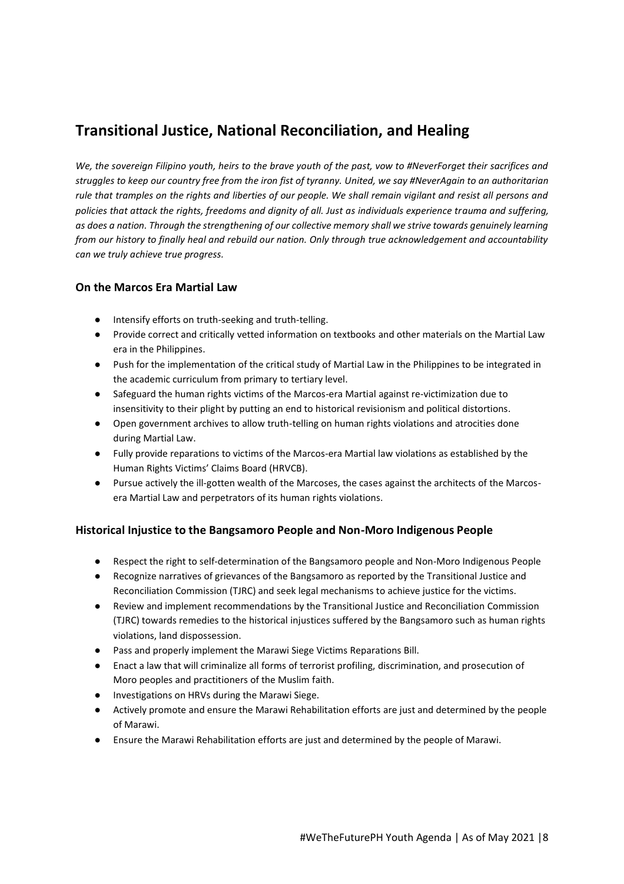# **Transitional Justice, National Reconciliation, and Healing**

*We, the sovereign Filipino youth, heirs to the brave youth of the past, vow to #NeverForget their sacrifices and struggles to keep our country free from the iron fist of tyranny. United, we say #NeverAgain to an authoritarian rule that tramples on the rights and liberties of our people. We shall remain vigilant and resist all persons and policies that attack the rights, freedoms and dignity of all. Just as individuals experience trauma and suffering, as does a nation. Through the strengthening of our collective memory shall we strive towards genuinely learning from our history to finally heal and rebuild our nation. Only through true acknowledgement and accountability can we truly achieve true progress.*

### **On the Marcos Era Martial Law**

- Intensify efforts on truth-seeking and truth-telling.
- Provide correct and critically vetted information on textbooks and other materials on the Martial Law era in the Philippines.
- Push for the implementation of the critical study of Martial Law in the Philippines to be integrated in the academic curriculum from primary to tertiary level.
- Safeguard the human rights victims of the Marcos-era Martial against re-victimization due to insensitivity to their plight by putting an end to historical revisionism and political distortions.
- Open government archives to allow truth-telling on human rights violations and atrocities done during Martial Law.
- Fully provide reparations to victims of the Marcos-era Martial law violations as established by the Human Rights Victims' Claims Board (HRVCB).
- Pursue actively the ill-gotten wealth of the Marcoses, the cases against the architects of the Marcosera Martial Law and perpetrators of its human rights violations.

### **Historical Injustice to the Bangsamoro People and Non-Moro Indigenous People**

- Respect the right to self-determination of the Bangsamoro people and Non-Moro Indigenous People
- Recognize narratives of grievances of the Bangsamoro as reported by the Transitional Justice and Reconciliation Commission (TJRC) and seek legal mechanisms to achieve justice for the victims.
- Review and implement recommendations by the Transitional Justice and Reconciliation Commission (TJRC) towards remedies to the historical injustices suffered by the Bangsamoro such as human rights violations, land dispossession.
- Pass and properly implement the Marawi Siege Victims Reparations Bill.
- Enact a law that will criminalize all forms of terrorist profiling, discrimination, and prosecution of Moro peoples and practitioners of the Muslim faith.
- Investigations on HRVs during the Marawi Siege.
- Actively promote and ensure the Marawi Rehabilitation efforts are just and determined by the people of Marawi.
- Ensure the Marawi Rehabilitation efforts are just and determined by the people of Marawi.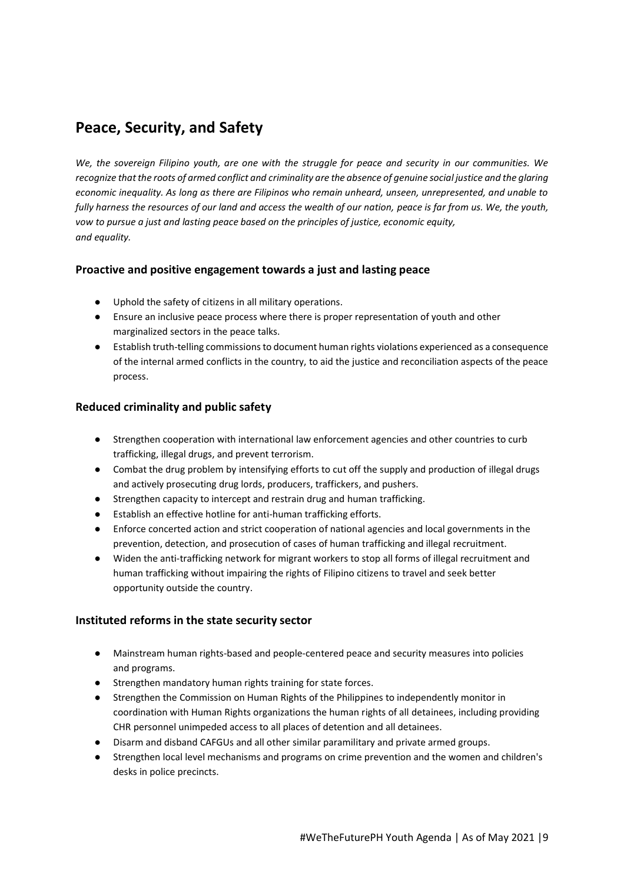# **Peace, Security, and Safety**

*We, the sovereign Filipino youth, are one with the struggle for peace and security in our communities. We recognize that the roots of armed conflict and criminality are the absence of genuine social justice and the glaring economic inequality. As long as there are Filipinos who remain unheard, unseen, unrepresented, and unable to fully harness the resources of our land and access the wealth of our nation, peace is far from us. We, the youth, vow to pursue a just and lasting peace based on the principles of justice, economic equity, and equality.*

## **Proactive and positive engagement towards a just and lasting peace**

- Uphold the safety of citizens in all military operations.
- Ensure an inclusive peace process where there is proper representation of youth and other marginalized sectors in the peace talks.
- Establish truth-telling commissions to document human rights violations experienced as a consequence of the internal armed conflicts in the country, to aid the justice and reconciliation aspects of the peace process.

### **Reduced criminality and public safety**

- Strengthen cooperation with international law enforcement agencies and other countries to curb trafficking, illegal drugs, and prevent terrorism.
- Combat the drug problem by intensifying efforts to cut off the supply and production of illegal drugs and actively prosecuting drug lords, producers, traffickers, and pushers.
- Strengthen capacity to intercept and restrain drug and human trafficking.
- Establish an effective hotline for anti-human trafficking efforts.
- Enforce concerted action and strict cooperation of national agencies and local governments in the prevention, detection, and prosecution of cases of human trafficking and illegal recruitment.
- Widen the anti-trafficking network for migrant workers to stop all forms of illegal recruitment and human trafficking without impairing the rights of Filipino citizens to travel and seek better opportunity outside the country.

### **Instituted reforms in the state security sector**

- Mainstream human rights-based and people-centered peace and security measures into policies and programs.
- Strengthen mandatory human rights training for state forces.
- Strengthen the Commission on Human Rights of the Philippines to independently monitor in coordination with Human Rights organizations the human rights of all detainees, including providing CHR personnel unimpeded access to all places of detention and all detainees.
- Disarm and disband CAFGUs and all other similar paramilitary and private armed groups.
- Strengthen local level mechanisms and programs on crime prevention and the women and children's desks in police precincts.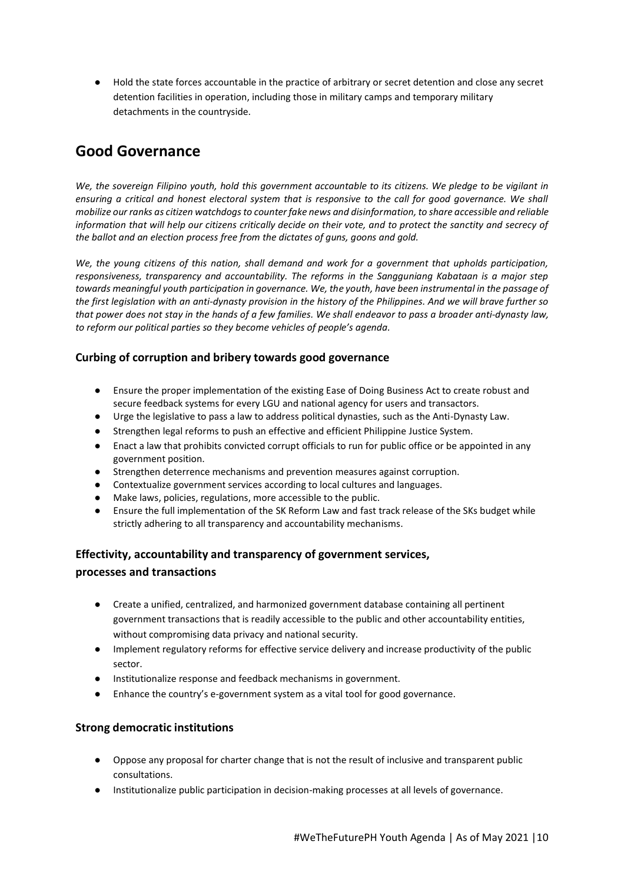● Hold the state forces accountable in the practice of arbitrary or secret detention and close any secret detention facilities in operation, including those in military camps and temporary military detachments in the countryside.

# **Good Governance**

*We, the sovereign Filipino youth, hold this government accountable to its citizens. We pledge to be vigilant in ensuring a critical and honest electoral system that is responsive to the call for good governance. We shall mobilize our ranks as citizen watchdogs to counter fake news and disinformation, to share accessible and reliable information that will help our citizens critically decide on their vote, and to protect the sanctity and secrecy of the ballot and an election process free from the dictates of guns, goons and gold.*

*We, the young citizens of this nation, shall demand and work for a government that upholds participation, responsiveness, transparency and accountability. The reforms in the Sangguniang Kabataan is a major step towards meaningful youth participation in governance. We, the youth, have been instrumental in the passage of the first legislation with an anti-dynasty provision in the history of the Philippines. And we will brave further so that power does not stay in the hands of a few families. We shall endeavor to pass a broader anti-dynasty law, to reform our political parties so they become vehicles of people's agenda.*

## **Curbing of corruption and bribery towards good governance**

- Ensure the proper implementation of the existing Ease of Doing Business Act to create robust and secure feedback systems for every LGU and national agency for users and transactors.
- Urge the legislative to pass a law to address political dynasties, such as the Anti-Dynasty Law.
- Strengthen legal reforms to push an effective and efficient Philippine Justice System.
- Enact a law that prohibits convicted corrupt officials to run for public office or be appointed in any government position.
- Strengthen deterrence mechanisms and prevention measures against corruption.
- Contextualize government services according to local cultures and languages.
- Make laws, policies, regulations, more accessible to the public.
- Ensure the full implementation of the SK Reform Law and fast track release of the SKs budget while strictly adhering to all transparency and accountability mechanisms.

### **Effectivity, accountability and transparency of government services,**

#### **processes and transactions**

- Create a unified, centralized, and harmonized government database containing all pertinent government transactions that is readily accessible to the public and other accountability entities, without compromising data privacy and national security.
- Implement regulatory reforms for effective service delivery and increase productivity of the public sector.
- Institutionalize response and feedback mechanisms in government.
- Enhance the country's e-government system as a vital tool for good governance.

### **Strong democratic institutions**

- Oppose any proposal for charter change that is not the result of inclusive and transparent public consultations.
- Institutionalize public participation in decision-making processes at all levels of governance.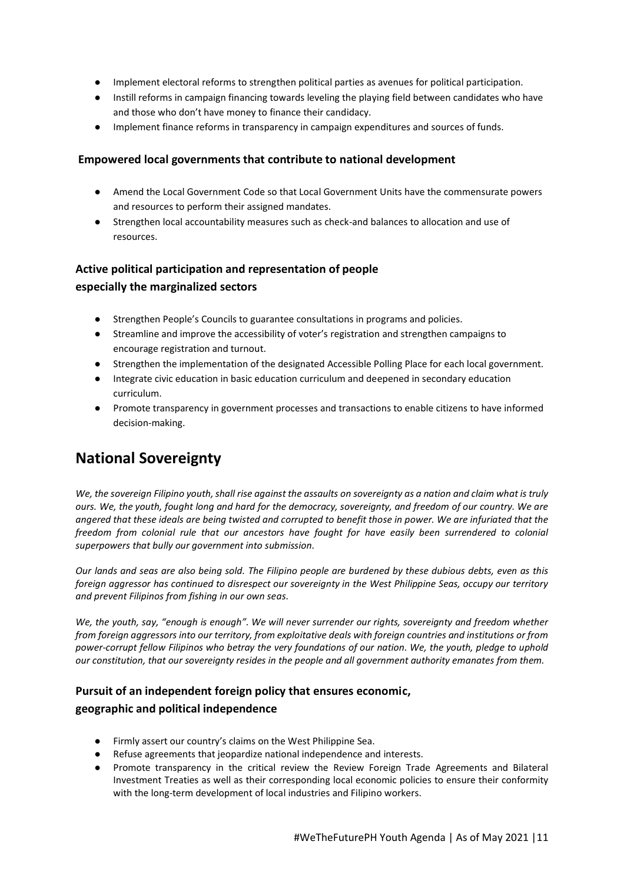- Implement electoral reforms to strengthen political parties as avenues for political participation.
- Instill reforms in campaign financing towards leveling the playing field between candidates who have and those who don't have money to finance their candidacy.
- Implement finance reforms in transparency in campaign expenditures and sources of funds.

#### **Empowered local governments that contribute to national development**

- Amend the Local Government Code so that Local Government Units have the commensurate powers and resources to perform their assigned mandates.
- Strengthen local accountability measures such as check-and balances to allocation and use of resources.

## **Active political participation and representation of people especially the marginalized sectors**

- Strengthen People's Councils to guarantee consultations in programs and policies.
- Streamline and improve the accessibility of voter's registration and strengthen campaigns to encourage registration and turnout.
- Strengthen the implementation of the designated Accessible Polling Place for each local government.
- Integrate civic education in basic education curriculum and deepened in secondary education curriculum.
- Promote transparency in government processes and transactions to enable citizens to have informed decision-making.

# **National Sovereignty**

*We, the sovereign Filipino youth, shall rise against the assaults on sovereignty as a nation and claim what is truly ours. We, the youth, fought long and hard for the democracy, sovereignty, and freedom of our country. We are angered that these ideals are being twisted and corrupted to benefit those in power. We are infuriated that the freedom from colonial rule that our ancestors have fought for have easily been surrendered to colonial superpowers that bully our government into submission.* 

*Our lands and seas are also being sold. The Filipino people are burdened by these dubious debts, even as this foreign aggressor has continued to disrespect our sovereignty in the West Philippine Seas, occupy our territory and prevent Filipinos from fishing in our own seas.* 

*We, the youth, say, "enough is enough". We will never surrender our rights, sovereignty and freedom whether from foreign aggressors into our territory, from exploitative deals with foreign countries and institutions or from power-corrupt fellow Filipinos who betray the very foundations of our nation. We, the youth, pledge to uphold our constitution, that our sovereignty resides in the people and all government authority emanates from them.*

## **Pursuit of an independent foreign policy that ensures economic,**

### **geographic and political independence**

- Firmly assert our country's claims on the West Philippine Sea.
- Refuse agreements that jeopardize national independence and interests.
- Promote transparency in the critical review the Review Foreign Trade Agreements and Bilateral Investment Treaties as well as their corresponding local economic policies to ensure their conformity with the long-term development of local industries and Filipino workers.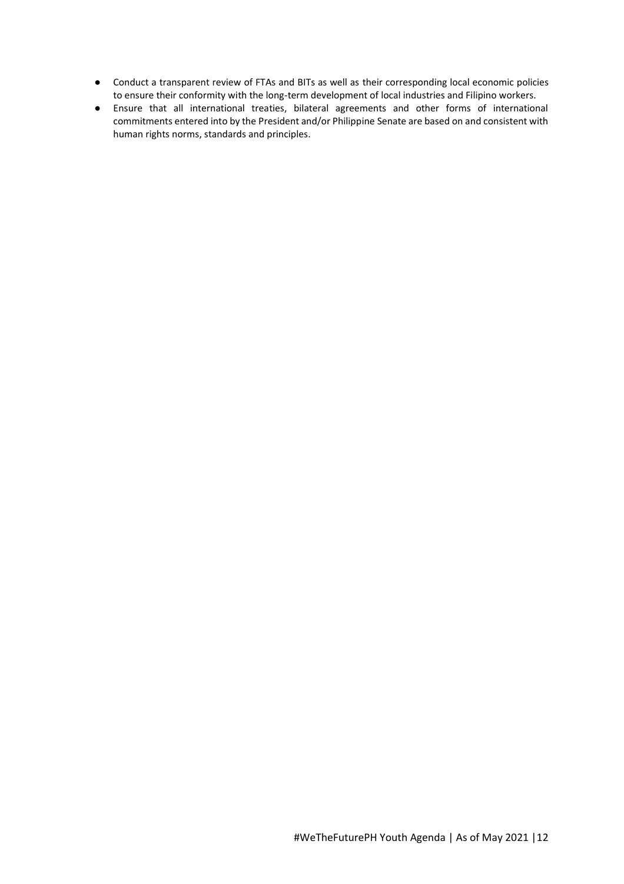- Conduct a transparent review of FTAs and BITs as well as their corresponding local economic policies to ensure their conformity with the long-term development of local industries and Filipino workers.
- Ensure that all international treaties, bilateral agreements and other forms of international commitments entered into by the President and/or Philippine Senate are based on and consistent with human rights norms, standards and principles.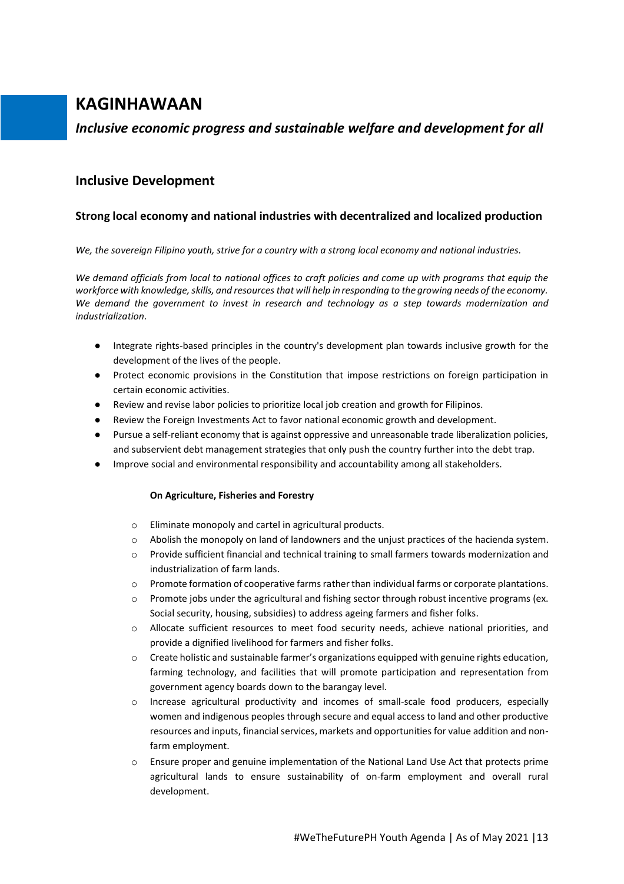# **KAGINHAWAAN**

# *Inclusive economic progress and sustainable welfare and development for all*

## **Inclusive Development**

## **Strong local economy and national industries with decentralized and localized production**

*We, the sovereign Filipino youth, strive for a country with a strong local economy and national industries.* 

*We demand officials from local to national offices to craft policies and come up with programs that equip the workforce with knowledge, skills, and resources that will help in responding to the growing needs of the economy. We demand the government to invest in research and technology as a step towards modernization and industrialization.*

- Integrate rights-based principles in the country's development plan towards inclusive growth for the development of the lives of the people.
- Protect economic provisions in the Constitution that impose restrictions on foreign participation in certain economic activities.
- Review and revise labor policies to prioritize local job creation and growth for Filipinos.
- Review the Foreign Investments Act to favor national economic growth and development.
- Pursue a self-reliant economy that is against oppressive and unreasonable trade liberalization policies, and subservient debt management strategies that only push the country further into the debt trap.
- Improve social and environmental responsibility and accountability among all stakeholders.

#### **On Agriculture, Fisheries and Forestry**

- o Eliminate monopoly and cartel in agricultural products.
- o Abolish the monopoly on land of landowners and the unjust practices of the hacienda system.
- o Provide sufficient financial and technical training to small farmers towards modernization and industrialization of farm lands.
- $\circ$  Promote formation of cooperative farms rather than individual farms or corporate plantations.
- o Promote jobs under the agricultural and fishing sector through robust incentive programs (ex. Social security, housing, subsidies) to address ageing farmers and fisher folks.
- o Allocate sufficient resources to meet food security needs, achieve national priorities, and provide a dignified livelihood for farmers and fisher folks.
- $\circ$  Create holistic and sustainable farmer's organizations equipped with genuine rights education, farming technology, and facilities that will promote participation and representation from government agency boards down to the barangay level.
- o Increase agricultural productivity and incomes of small-scale food producers, especially women and indigenous peoples through secure and equal access to land and other productive resources and inputs, financial services, markets and opportunities for value addition and nonfarm employment.
- o Ensure proper and genuine implementation of the National Land Use Act that protects prime agricultural lands to ensure sustainability of on-farm employment and overall rural development.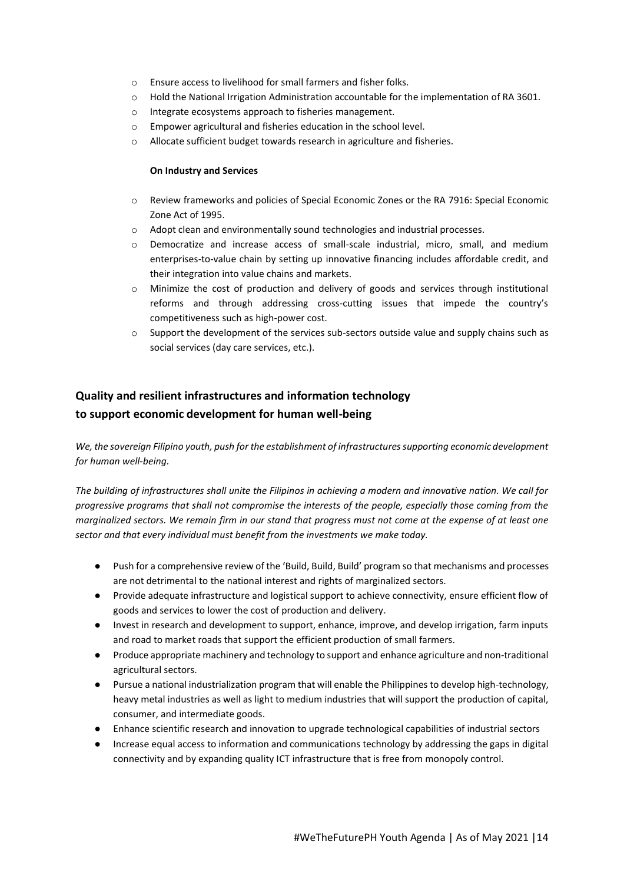- o Ensure access to livelihood for small farmers and fisher folks.
- o Hold the National Irrigation Administration accountable for the implementation of RA 3601.
- o Integrate ecosystems approach to fisheries management.
- o Empower agricultural and fisheries education in the school level.
- o Allocate sufficient budget towards research in agriculture and fisheries.

#### **On Industry and Services**

- o Review frameworks and policies of Special Economic Zones or the RA 7916: Special Economic Zone Act of 1995.
- $\circ$  Adopt clean and environmentally sound technologies and industrial processes.
- o Democratize and increase access of small-scale industrial, micro, small, and medium enterprises-to-value chain by setting up innovative financing includes affordable credit, and their integration into value chains and markets.
- o Minimize the cost of production and delivery of goods and services through institutional reforms and through addressing cross-cutting issues that impede the country's competitiveness such as high-power cost.
- $\circ$  Support the development of the services sub-sectors outside value and supply chains such as social services (day care services, etc.).

## **Quality and resilient infrastructures and information technology to support economic development for human well-being**

*We, the sovereign Filipino youth, push for the establishment of infrastructures supporting economic development for human well-being.* 

*The building of infrastructures shall unite the Filipinos in achieving a modern and innovative nation. We call for progressive programs that shall not compromise the interests of the people, especially those coming from the marginalized sectors. We remain firm in our stand that progress must not come at the expense of at least one sector and that every individual must benefit from the investments we make today.* 

- Push for a comprehensive review of the 'Build, Build, Build' program so that mechanisms and processes are not detrimental to the national interest and rights of marginalized sectors.
- Provide adequate infrastructure and logistical support to achieve connectivity, ensure efficient flow of goods and services to lower the cost of production and delivery.
- Invest in research and development to support, enhance, improve, and develop irrigation, farm inputs and road to market roads that support the efficient production of small farmers.
- Produce appropriate machinery and technology to support and enhance agriculture and non-traditional agricultural sectors.
- Pursue a national industrialization program that will enable the Philippines to develop high-technology, heavy metal industries as well as light to medium industries that will support the production of capital, consumer, and intermediate goods.
- Enhance scientific research and innovation to upgrade technological capabilities of industrial sectors
- Increase equal access to information and communications technology by addressing the gaps in digital connectivity and by expanding quality ICT infrastructure that is free from monopoly control.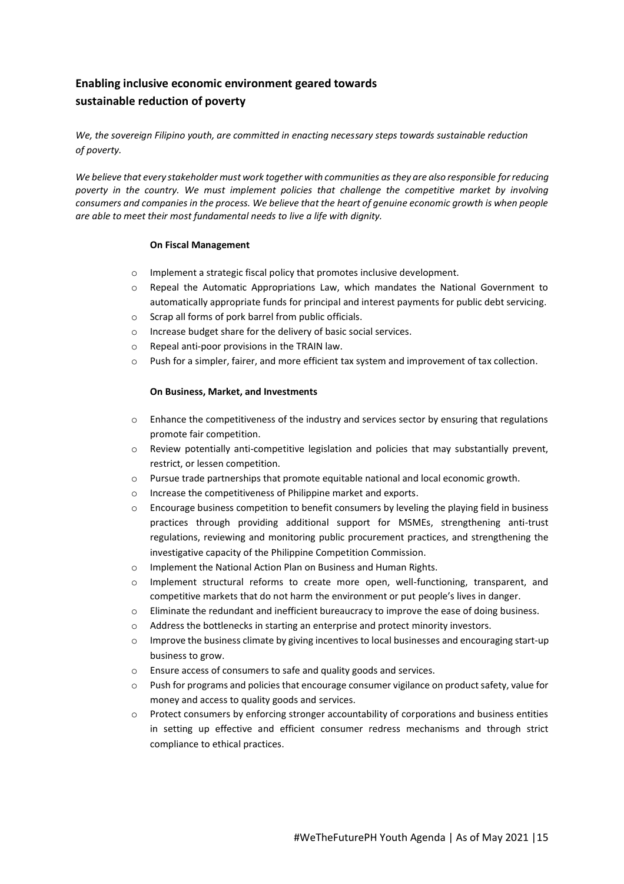# **Enabling inclusive economic environment geared towards sustainable reduction of poverty**

*We, the sovereign Filipino youth, are committed in enacting necessary steps towards sustainable reduction of poverty.* 

*We believe that every stakeholder must work together with communities as they are also responsible for reducing poverty in the country. We must implement policies that challenge the competitive market by involving consumers and companies in the process. We believe that the heart of genuine economic growth is when people are able to meet their most fundamental needs to live a life with dignity.*

#### **On Fiscal Management**

- o Implement a strategic fiscal policy that promotes inclusive development.
- o Repeal the Automatic Appropriations Law, which mandates the National Government to automatically appropriate funds for principal and interest payments for public debt servicing.
- o Scrap all forms of pork barrel from public officials.
- o Increase budget share for the delivery of basic social services.
- o Repeal anti-poor provisions in the TRAIN law.
- o Push for a simpler, fairer, and more efficient tax system and improvement of tax collection.

#### **On Business, Market, and Investments**

- $\circ$  Enhance the competitiveness of the industry and services sector by ensuring that regulations promote fair competition.
- o Review potentially anti-competitive legislation and policies that may substantially prevent, restrict, or lessen competition.
- o Pursue trade partnerships that promote equitable national and local economic growth.
- o Increase the competitiveness of Philippine market and exports.
- $\circ$  Encourage business competition to benefit consumers by leveling the playing field in business practices through providing additional support for MSMEs, strengthening anti-trust regulations, reviewing and monitoring public procurement practices, and strengthening the investigative capacity of the Philippine Competition Commission.
- o Implement the National Action Plan on Business and Human Rights.
- o Implement structural reforms to create more open, well-functioning, transparent, and competitive markets that do not harm the environment or put people's lives in danger.
- o Eliminate the redundant and inefficient bureaucracy to improve the ease of doing business.
- o Address the bottlenecks in starting an enterprise and protect minority investors.
- $\circ$  Improve the business climate by giving incentives to local businesses and encouraging start-up business to grow.
- o Ensure access of consumers to safe and quality goods and services.
- o Push for programs and policies that encourage consumer vigilance on product safety, value for money and access to quality goods and services.
- o Protect consumers by enforcing stronger accountability of corporations and business entities in setting up effective and efficient consumer redress mechanisms and through strict compliance to ethical practices.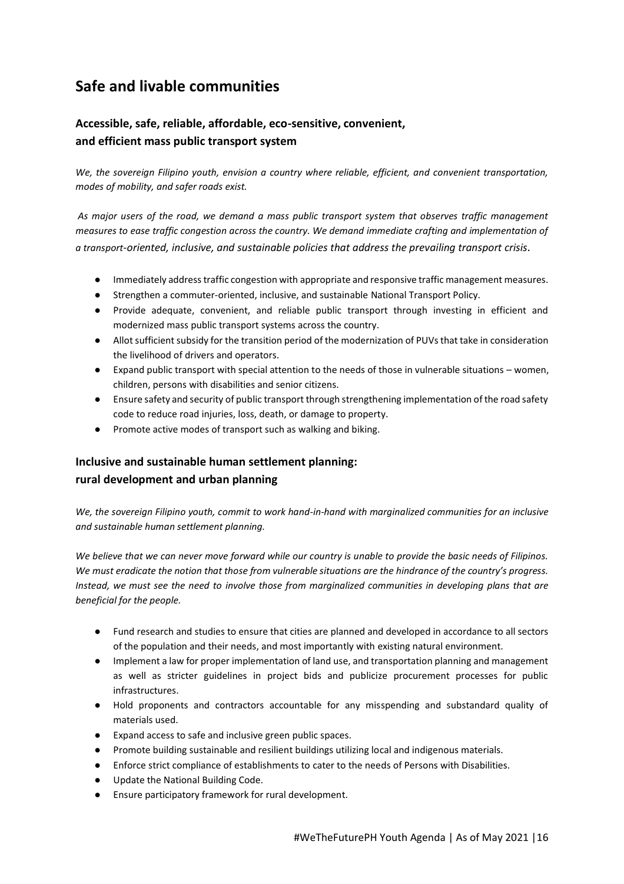# **Safe and livable communities**

## **Accessible, safe, reliable, affordable, eco-sensitive, convenient, and efficient mass public transport system**

*We, the sovereign Filipino youth, envision a country where reliable, efficient, and convenient transportation, modes of mobility, and safer roads exist.*

*As major users of the road, we demand a mass public transport system that observes traffic management measures to ease traffic congestion across the country. We demand immediate crafting and implementation of a transport-oriented, inclusive, and sustainable policies that address the prevailing transport crisis.*

- Immediately address traffic congestion with appropriate and responsive traffic management measures.
- Strengthen a commuter-oriented, inclusive, and sustainable National Transport Policy.
- Provide adequate, convenient, and reliable public transport through investing in efficient and modernized mass public transport systems across the country.
- Allot sufficient subsidy for the transition period of the modernization of PUVs that take in consideration the livelihood of drivers and operators.
- Expand public transport with special attention to the needs of those in vulnerable situations women, children, persons with disabilities and senior citizens.
- Ensure safety and security of public transport through strengthening implementation of the road safety code to reduce road injuries, loss, death, or damage to property.
- Promote active modes of transport such as walking and biking.

# **Inclusive and sustainable human settlement planning: rural development and urban planning**

*We, the sovereign Filipino youth, commit to work hand-in-hand with marginalized communities for an inclusive and sustainable human settlement planning.* 

*We believe that we can never move forward while our country is unable to provide the basic needs of Filipinos. We must eradicate the notion that those from vulnerable situations are the hindrance of the country's progress. Instead, we must see the need to involve those from marginalized communities in developing plans that are beneficial for the people.* 

- Fund research and studies to ensure that cities are planned and developed in accordance to all sectors of the population and their needs, and most importantly with existing natural environment.
- Implement a law for proper implementation of land use, and transportation planning and management as well as stricter guidelines in project bids and publicize procurement processes for public infrastructures.
- Hold proponents and contractors accountable for any misspending and substandard quality of materials used.
- Expand access to safe and inclusive green public spaces.
- Promote building sustainable and resilient buildings utilizing local and indigenous materials.
- Enforce strict compliance of establishments to cater to the needs of Persons with Disabilities.
- Update the National Building Code.
- Ensure participatory framework for rural development.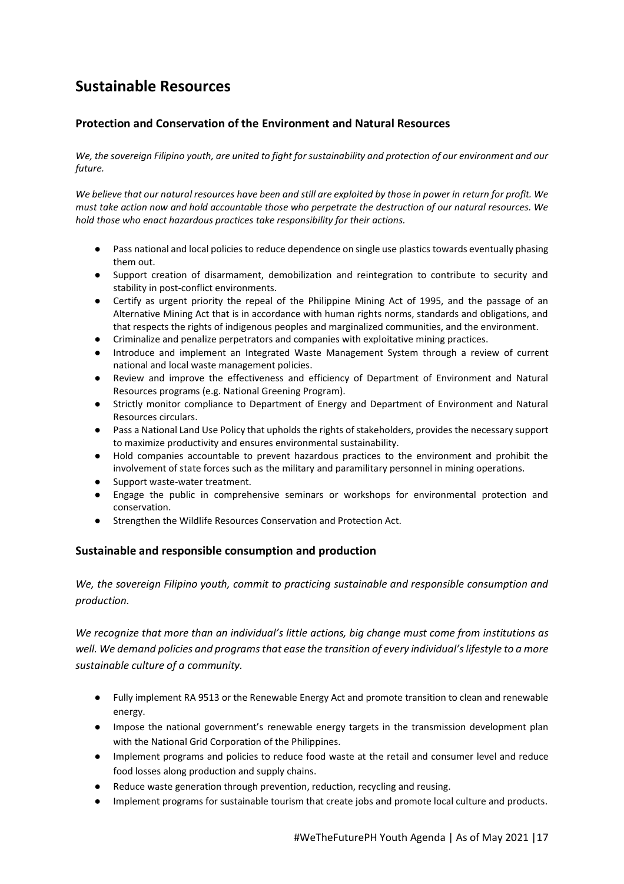# **Sustainable Resources**

## **Protection and Conservation of the Environment and Natural Resources**

We, the sovereign Filipino youth, are united to fight for sustainability and protection of our environment and our *future.* 

*We believe that our natural resources have been and still are exploited by those in power in return for profit. We must take action now and hold accountable those who perpetrate the destruction of our natural resources. We hold those who enact hazardous practices take responsibility for their actions.*

- Pass national and local policies to reduce dependence on single use plastics towards eventually phasing them out.
- Support creation of disarmament, demobilization and reintegration to contribute to security and stability in post-conflict environments.
- Certify as urgent priority the repeal of the Philippine Mining Act of 1995, and the passage of an Alternative Mining Act that is in accordance with human rights norms, standards and obligations, and that respects the rights of indigenous peoples and marginalized communities, and the environment.
- Criminalize and penalize perpetrators and companies with exploitative mining practices.
- Introduce and implement an Integrated Waste Management System through a review of current national and local waste management policies.
- Review and improve the effectiveness and efficiency of Department of Environment and Natural Resources programs (e.g. National Greening Program).
- Strictly monitor compliance to Department of Energy and Department of Environment and Natural Resources circulars.
- Pass a National Land Use Policy that upholds the rights of stakeholders, provides the necessary support to maximize productivity and ensures environmental sustainability.
- Hold companies accountable to prevent hazardous practices to the environment and prohibit the involvement of state forces such as the military and paramilitary personnel in mining operations.
- Support waste-water treatment.
- Engage the public in comprehensive seminars or workshops for environmental protection and conservation.
- Strengthen the Wildlife Resources Conservation and Protection Act.

#### **Sustainable and responsible consumption and production**

*We, the sovereign Filipino youth, commit to practicing sustainable and responsible consumption and production.*

*We recognize that more than an individual's little actions, big change must come from institutions as well. We demand policies and programs that ease the transition of every individual's lifestyle to a more sustainable culture of a community.*

- Fully implement RA 9513 or the Renewable Energy Act and promote transition to clean and renewable energy.
- Impose the national government's renewable energy targets in the transmission development plan with the National Grid Corporation of the Philippines.
- Implement programs and policies to reduce food waste at the retail and consumer level and reduce food losses along production and supply chains.
- Reduce waste generation through prevention, reduction, recycling and reusing.
- Implement programs for sustainable tourism that create jobs and promote local culture and products.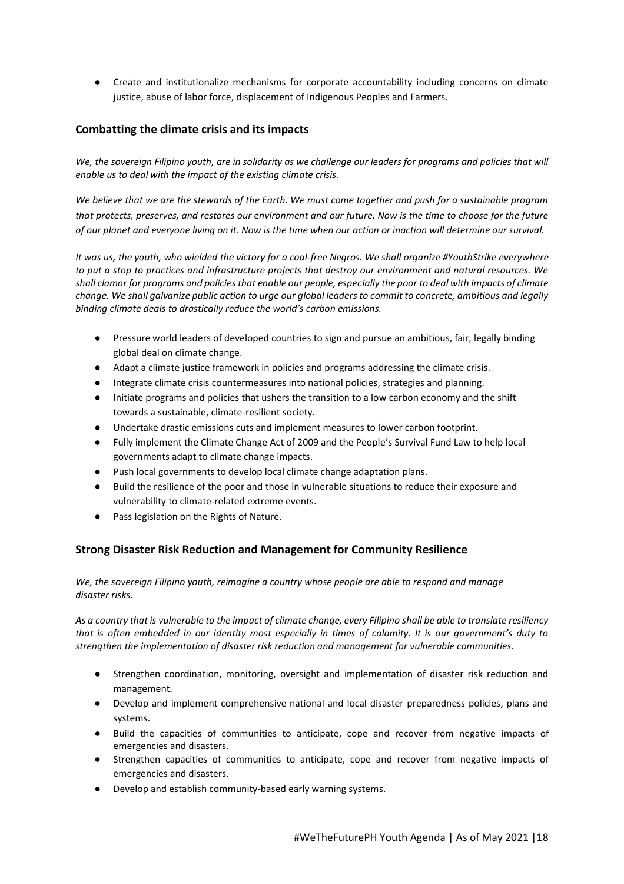● Create and institutionalize mechanisms for corporate accountability including concerns on climate justice, abuse of labor force, displacement of Indigenous Peoples and Farmers.

#### **Combatting the climate crisis and its impacts**

*We, the sovereign Filipino youth, are in solidarity as we challenge our leaders for programs and policies that will enable us to deal with the impact of the existing climate crisis.* 

*We believe that we are the stewards of the Earth. We must come together and push for a sustainable program that protects, preserves, and restores our environment and our future. Now is the time to choose for the future of our planet and everyone living on it. Now is the time when our action or inaction will determine our survival.*

*It was us, the youth, who wielded the victory for a coal-free Negros. We shall organize #YouthStrike everywhere to put a stop to practices and infrastructure projects that destroy our environment and natural resources. We shall clamor for programs and policies that enable our people, especially the poor to deal with impacts of climate change. We shall galvanize public action to urge our global leaders to commit to concrete, ambitious and legally binding climate deals to drastically reduce the world's carbon emissions.* 

- Pressure world leaders of developed countries to sign and pursue an ambitious, fair, legally binding global deal on climate change.
- Adapt a climate justice framework in policies and programs addressing the climate crisis.
- Integrate climate crisis countermeasures into national policies, strategies and planning.
- Initiate programs and policies that ushers the transition to a low carbon economy and the shift towards a sustainable, climate-resilient society.
- Undertake drastic emissions cuts and implement measures to lower carbon footprint.
- Fully implement the Climate Change Act of 2009 and the People's Survival Fund Law to help local governments adapt to climate change impacts.
- Push local governments to develop local climate change adaptation plans.
- Build the resilience of the poor and those in vulnerable situations to reduce their exposure and vulnerability to climate-related extreme events.
- Pass legislation on the Rights of Nature.

#### **Strong Disaster Risk Reduction and Management for Community Resilience**

*We, the sovereign Filipino youth, reimagine a country whose people are able to respond and manage disaster risks.*

*As a country that is vulnerable to the impact of climate change, every Filipino shall be able to translate resiliency that is often embedded in our identity most especially in times of calamity. It is our government's duty to strengthen the implementation of disaster risk reduction and management for vulnerable communities.*

- Strengthen coordination, monitoring, oversight and implementation of disaster risk reduction and management.
- Develop and implement comprehensive national and local disaster preparedness policies, plans and systems.
- Build the capacities of communities to anticipate, cope and recover from negative impacts of emergencies and disasters.
- Strengthen capacities of communities to anticipate, cope and recover from negative impacts of emergencies and disasters.
- Develop and establish community-based early warning systems.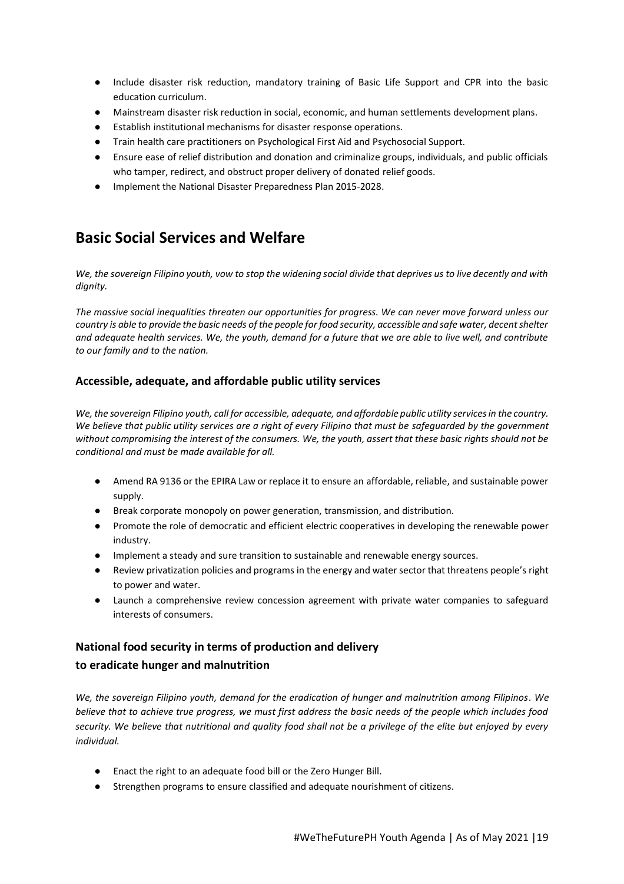- Include disaster risk reduction, mandatory training of Basic Life Support and CPR into the basic education curriculum.
- Mainstream disaster risk reduction in social, economic, and human settlements development plans.
- Establish institutional mechanisms for disaster response operations.
- Train health care practitioners on Psychological First Aid and Psychosocial Support.
- Ensure ease of relief distribution and donation and criminalize groups, individuals, and public officials who tamper, redirect, and obstruct proper delivery of donated relief goods.
- Implement the National Disaster Preparedness Plan 2015-2028.

# **Basic Social Services and Welfare**

*We, the sovereign Filipino youth, vow to stop the widening social divide that deprives us to live decently and with dignity.* 

*The massive social inequalities threaten our opportunities for progress. We can never move forward unless our country is able to provide the basic needs of the people for food security, accessible and safe water, decent shelter and adequate health services. We, the youth, demand for a future that we are able to live well, and contribute to our family and to the nation.* 

#### **Accessible, adequate, and affordable public utility services**

*We, the sovereign Filipino youth, call for accessible, adequate, and affordable public utility services in the country. We believe that public utility services are a right of every Filipino that must be safeguarded by the government without compromising the interest of the consumers. We, the youth, assert that these basic rights should not be conditional and must be made available for all.*

- Amend RA 9136 or the EPIRA Law or replace it to ensure an affordable, reliable, and sustainable power supply.
- Break corporate monopoly on power generation, transmission, and distribution.
- Promote the role of democratic and efficient electric cooperatives in developing the renewable power industry.
- Implement a steady and sure transition to sustainable and renewable energy sources.
- Review privatization policies and programs in the energy and water sector that threatens people's right to power and water.
- Launch a comprehensive review concession agreement with private water companies to safeguard interests of consumers.

## **National food security in terms of production and delivery to eradicate hunger and malnutrition**

*We, the sovereign Filipino youth, demand for the eradication of hunger and malnutrition among Filipinos. We believe that to achieve true progress, we must first address the basic needs of the people which includes food security. We believe that nutritional and quality food shall not be a privilege of the elite but enjoyed by every individual.*

- Enact the right to an adequate food bill or the Zero Hunger Bill.
- Strengthen programs to ensure classified and adequate nourishment of citizens.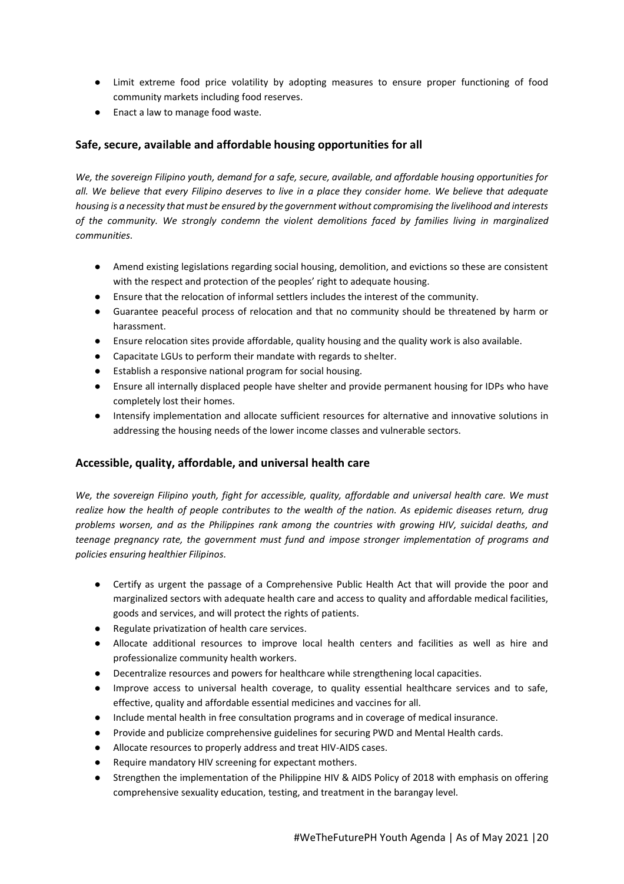- Limit extreme food price volatility by adopting measures to ensure proper functioning of food community markets including food reserves.
- Enact a law to manage food waste.

### **Safe, secure, available and affordable housing opportunities for all**

*We, the sovereign Filipino youth, demand for a safe, secure, available, and affordable housing opportunities for all. We believe that every Filipino deserves to live in a place they consider home. We believe that adequate housing is a necessity that must be ensured by the government without compromising the livelihood and interests of the community. We strongly condemn the violent demolitions faced by families living in marginalized communities.*

- Amend existing legislations regarding social housing, demolition, and evictions so these are consistent with the respect and protection of the peoples' right to adequate housing.
- Ensure that the relocation of informal settlers includes the interest of the community.
- Guarantee peaceful process of relocation and that no community should be threatened by harm or harassment.
- Ensure relocation sites provide affordable, quality housing and the quality work is also available.
- Capacitate LGUs to perform their mandate with regards to shelter.
- Establish a responsive national program for social housing.
- Ensure all internally displaced people have shelter and provide permanent housing for IDPs who have completely lost their homes.
- Intensify implementation and allocate sufficient resources for alternative and innovative solutions in addressing the housing needs of the lower income classes and vulnerable sectors.

#### **Accessible, quality, affordable, and universal health care**

*We, the sovereign Filipino youth, fight for accessible, quality, affordable and universal health care. We must realize how the health of people contributes to the wealth of the nation. As epidemic diseases return, drug problems worsen, and as the Philippines rank among the countries with growing HIV, suicidal deaths, and teenage pregnancy rate, the government must fund and impose stronger implementation of programs and policies ensuring healthier Filipinos.*

- Certify as urgent the passage of a Comprehensive Public Health Act that will provide the poor and marginalized sectors with adequate health care and access to quality and affordable medical facilities, goods and services, and will protect the rights of patients.
- Regulate privatization of health care services.
- Allocate additional resources to improve local health centers and facilities as well as hire and professionalize community health workers.
- Decentralize resources and powers for healthcare while strengthening local capacities.
- Improve access to universal health coverage, to quality essential healthcare services and to safe, effective, quality and affordable essential medicines and vaccines for all.
- Include mental health in free consultation programs and in coverage of medical insurance.
- Provide and publicize comprehensive guidelines for securing PWD and Mental Health cards.
- Allocate resources to properly address and treat HIV-AIDS cases.
- Require mandatory HIV screening for expectant mothers.
- Strengthen the implementation of the Philippine HIV & AIDS Policy of 2018 with emphasis on offering comprehensive sexuality education, testing, and treatment in the barangay level.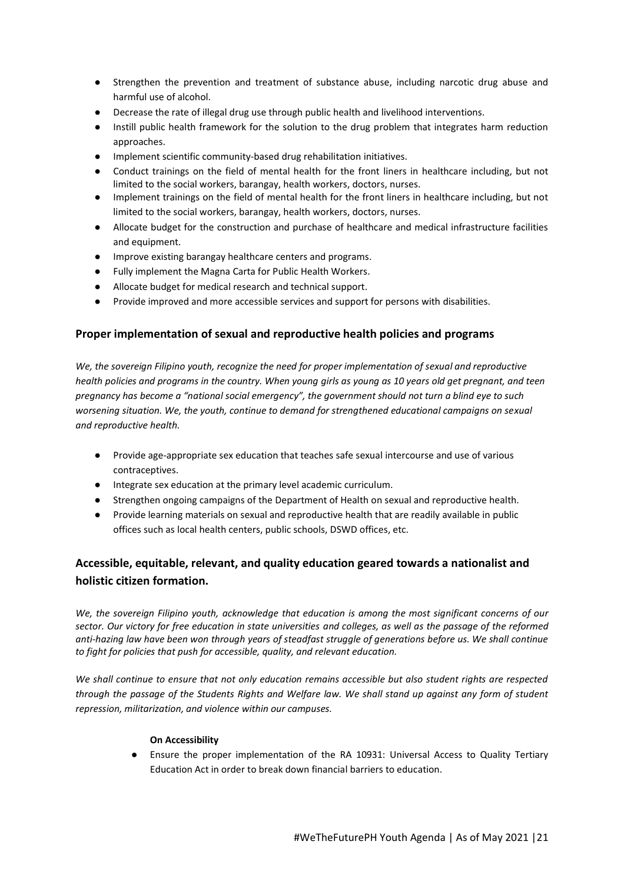- Strengthen the prevention and treatment of substance abuse, including narcotic drug abuse and harmful use of alcohol.
- Decrease the rate of illegal drug use through public health and livelihood interventions.
- Instill public health framework for the solution to the drug problem that integrates harm reduction approaches.
- Implement scientific community-based drug rehabilitation initiatives.
- Conduct trainings on the field of mental health for the front liners in healthcare including, but not limited to the social workers, barangay, health workers, doctors, nurses.
- Implement trainings on the field of mental health for the front liners in healthcare including, but not limited to the social workers, barangay, health workers, doctors, nurses.
- Allocate budget for the construction and purchase of healthcare and medical infrastructure facilities and equipment.
- Improve existing barangay healthcare centers and programs.
- Fully implement the Magna Carta for Public Health Workers.
- Allocate budget for medical research and technical support.
- Provide improved and more accessible services and support for persons with disabilities.

### **Proper implementation of sexual and reproductive health policies and programs**

*We, the sovereign Filipino youth, recognize the need for proper implementation of sexual and reproductive health policies and programs in the country. When young girls as young as 10 years old get pregnant, and teen pregnancy has become a "national social emergency", the government should not turn a blind eye to such worsening situation. We, the youth, continue to demand for strengthened educational campaigns on sexual and reproductive health.*

- Provide age-appropriate sex education that teaches safe sexual intercourse and use of various contraceptives.
- Integrate sex education at the primary level academic curriculum.
- Strengthen ongoing campaigns of the Department of Health on sexual and reproductive health.
- Provide learning materials on sexual and reproductive health that are readily available in public offices such as local health centers, public schools, DSWD offices, etc.

## **Accessible, equitable, relevant, and quality education geared towards a nationalist and holistic citizen formation.**

*We, the sovereign Filipino youth, acknowledge that education is among the most significant concerns of our sector. Our victory for free education in state universities and colleges, as well as the passage of the reformed anti-hazing law have been won through years of steadfast struggle of generations before us. We shall continue to fight for policies that push for accessible, quality, and relevant education.* 

*We shall continue to ensure that not only education remains accessible but also student rights are respected through the passage of the Students Rights and Welfare law. We shall stand up against any form of student repression, militarization, and violence within our campuses.* 

#### **On Accessibility**

● Ensure the proper implementation of the RA 10931: Universal Access to Quality Tertiary Education Act in order to break down financial barriers to education.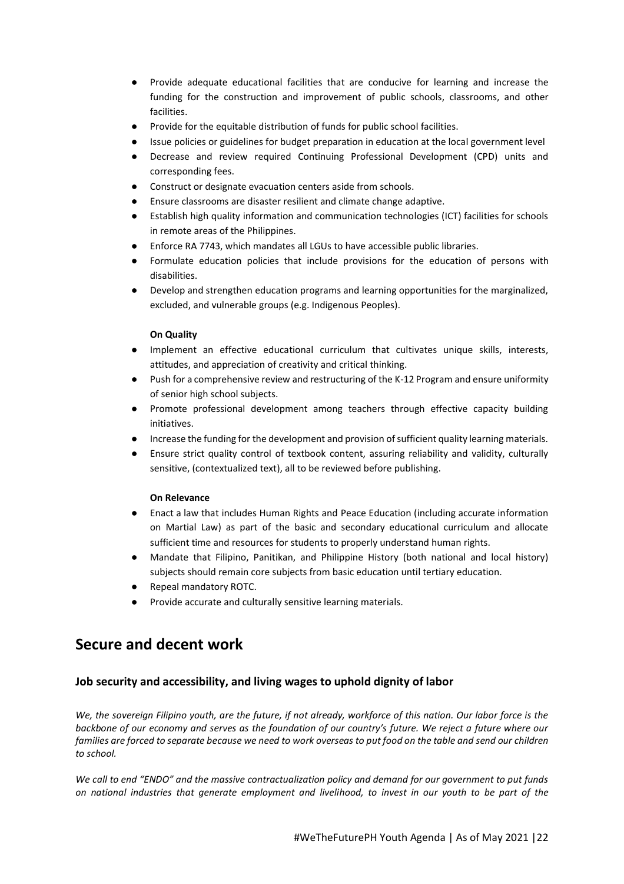- Provide adequate educational facilities that are conducive for learning and increase the funding for the construction and improvement of public schools, classrooms, and other facilities.
- Provide for the equitable distribution of funds for public school facilities.
- Issue policies or guidelines for budget preparation in education at the local government level
- Decrease and review required Continuing Professional Development (CPD) units and corresponding fees.
- Construct or designate evacuation centers aside from schools.
- Ensure classrooms are disaster resilient and climate change adaptive.
- Establish high quality information and communication technologies (ICT) facilities for schools in remote areas of the Philippines.
- Enforce RA 7743, which mandates all LGUs to have accessible public libraries.
- Formulate education policies that include provisions for the education of persons with disabilities.
- Develop and strengthen education programs and learning opportunities for the marginalized, excluded, and vulnerable groups (e.g. Indigenous Peoples).

#### **On Quality**

- Implement an effective educational curriculum that cultivates unique skills, interests, attitudes, and appreciation of creativity and critical thinking.
- Push for a comprehensive review and restructuring of the K-12 Program and ensure uniformity of senior high school subjects.
- Promote professional development among teachers through effective capacity building initiatives.
- Increase the funding for the development and provision of sufficient quality learning materials.
- Ensure strict quality control of textbook content, assuring reliability and validity, culturally sensitive, (contextualized text), all to be reviewed before publishing.

#### **On Relevance**

- Enact a law that includes Human Rights and Peace Education (including accurate information on Martial Law) as part of the basic and secondary educational curriculum and allocate sufficient time and resources for students to properly understand human rights.
- Mandate that Filipino, Panitikan, and Philippine History (both national and local history) subjects should remain core subjects from basic education until tertiary education.
- Repeal mandatory ROTC.
- Provide accurate and culturally sensitive learning materials.

# **Secure and decent work**

### **Job security and accessibility, and living wages to uphold dignity of labor**

*We, the sovereign Filipino youth, are the future, if not already, workforce of this nation. Our labor force is the backbone of our economy and serves as the foundation of our country's future. We reject a future where our families are forced to separate because we need to work overseas to put food on the table and send our children to school.* 

*We call to end "ENDO" and the massive contractualization policy and demand for our government to put funds on national industries that generate employment and livelihood, to invest in our youth to be part of the*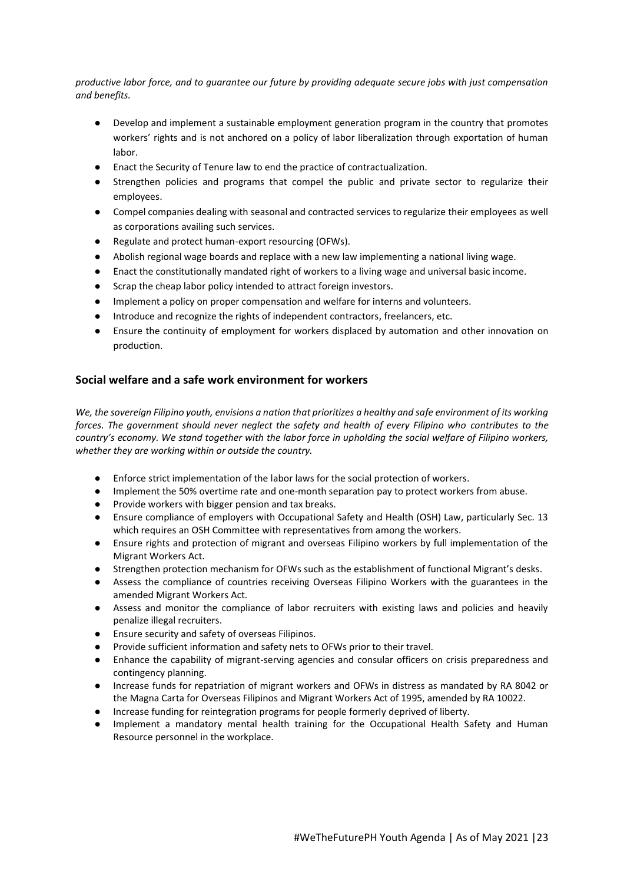*productive labor force, and to guarantee our future by providing adequate secure jobs with just compensation and benefits.*

- Develop and implement a sustainable employment generation program in the country that promotes workers' rights and is not anchored on a policy of labor liberalization through exportation of human labor.
- Enact the Security of Tenure law to end the practice of contractualization.
- Strengthen policies and programs that compel the public and private sector to regularize their employees.
- Compel companies dealing with seasonal and contracted services to regularize their employees as well as corporations availing such services.
- Regulate and protect human-export resourcing (OFWs).
- Abolish regional wage boards and replace with a new law implementing a national living wage.
- Enact the constitutionally mandated right of workers to a living wage and universal basic income.
- Scrap the cheap labor policy intended to attract foreign investors.
- Implement a policy on proper compensation and welfare for interns and volunteers.
- Introduce and recognize the rights of independent contractors, freelancers, etc.
- Ensure the continuity of employment for workers displaced by automation and other innovation on production.

#### **Social welfare and a safe work environment for workers**

*We, the sovereign Filipino youth, envisions a nation that prioritizes a healthy and safe environment of its working forces. The government should never neglect the safety and health of every Filipino who contributes to the country's economy. We stand together with the labor force in upholding the social welfare of Filipino workers, whether they are working within or outside the country.* 

- Enforce strict implementation of the labor laws for the social protection of workers.
- Implement the 50% overtime rate and one-month separation pay to protect workers from abuse.
- Provide workers with bigger pension and tax breaks.
- Ensure compliance of employers with Occupational Safety and Health (OSH) Law, particularly Sec. 13 which requires an OSH Committee with representatives from among the workers.
- Ensure rights and protection of migrant and overseas Filipino workers by full implementation of the Migrant Workers Act.
- Strengthen protection mechanism for OFWs such as the establishment of functional Migrant's desks.
- Assess the compliance of countries receiving Overseas Filipino Workers with the guarantees in the amended Migrant Workers Act.
- Assess and monitor the compliance of labor recruiters with existing laws and policies and heavily penalize illegal recruiters.
- Ensure security and safety of overseas Filipinos.
- Provide sufficient information and safety nets to OFWs prior to their travel.
- Enhance the capability of migrant-serving agencies and consular officers on crisis preparedness and contingency planning.
- Increase funds for repatriation of migrant workers and OFWs in distress as mandated by RA 8042 or the Magna Carta for Overseas Filipinos and Migrant Workers Act of 1995, amended by RA 10022.
- Increase funding for reintegration programs for people formerly deprived of liberty.
- Implement a mandatory mental health training for the Occupational Health Safety and Human Resource personnel in the workplace.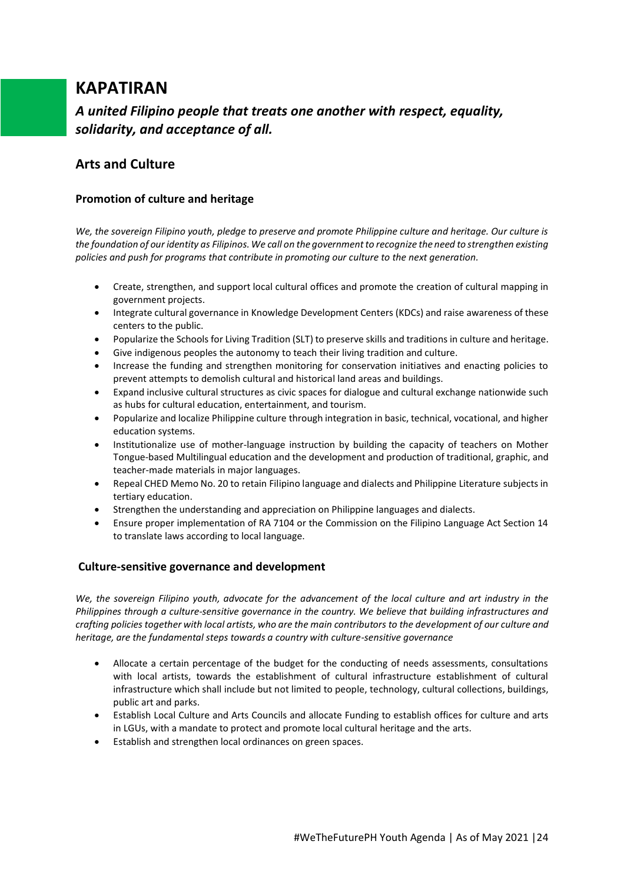# **KAPATIRAN**

*A united Filipino people that treats one another with respect, equality, solidarity, and acceptance of all.*

# **Arts and Culture**

### **Promotion of culture and heritage**

*We, the sovereign Filipino youth, pledge to preserve and promote Philippine culture and heritage. Our culture is the foundation of our identity as Filipinos. We call on the government to recognize the need to strengthen existing policies and push for programs that contribute in promoting our culture to the next generation.*

- Create, strengthen, and support local cultural offices and promote the creation of cultural mapping in government projects.
- Integrate cultural governance in Knowledge Development Centers (KDCs) and raise awareness of these centers to the public.
- Popularize the Schools for Living Tradition (SLT) to preserve skills and traditions in culture and heritage.
- Give indigenous peoples the autonomy to teach their living tradition and culture.
- Increase the funding and strengthen monitoring for conservation initiatives and enacting policies to prevent attempts to demolish cultural and historical land areas and buildings.
- Expand inclusive cultural structures as civic spaces for dialogue and cultural exchange nationwide such as hubs for cultural education, entertainment, and tourism.
- Popularize and localize Philippine culture through integration in basic, technical, vocational, and higher education systems.
- Institutionalize use of mother-language instruction by building the capacity of teachers on Mother Tongue-based Multilingual education and the development and production of traditional, graphic, and teacher-made materials in major languages.
- Repeal CHED Memo No. 20 to retain Filipino language and dialects and Philippine Literature subjects in tertiary education.
- Strengthen the understanding and appreciation on Philippine languages and dialects.
- Ensure proper implementation of RA 7104 or the Commission on the Filipino Language Act Section 14 to translate laws according to local language.

### **Culture-sensitive governance and development**

*We, the sovereign Filipino youth, advocate for the advancement of the local culture and art industry in the Philippines through a culture-sensitive governance in the country. We believe that building infrastructures and crafting policies together with local artists, who are the main contributors to the development of our culture and heritage, are the fundamental steps towards a country with culture-sensitive governance*

- Allocate a certain percentage of the budget for the conducting of needs assessments, consultations with local artists, towards the establishment of cultural infrastructure establishment of cultural infrastructure which shall include but not limited to people, technology, cultural collections, buildings, public art and parks.
- Establish Local Culture and Arts Councils and allocate Funding to establish offices for culture and arts in LGUs, with a mandate to protect and promote local cultural heritage and the arts.
- Establish and strengthen local ordinances on green spaces.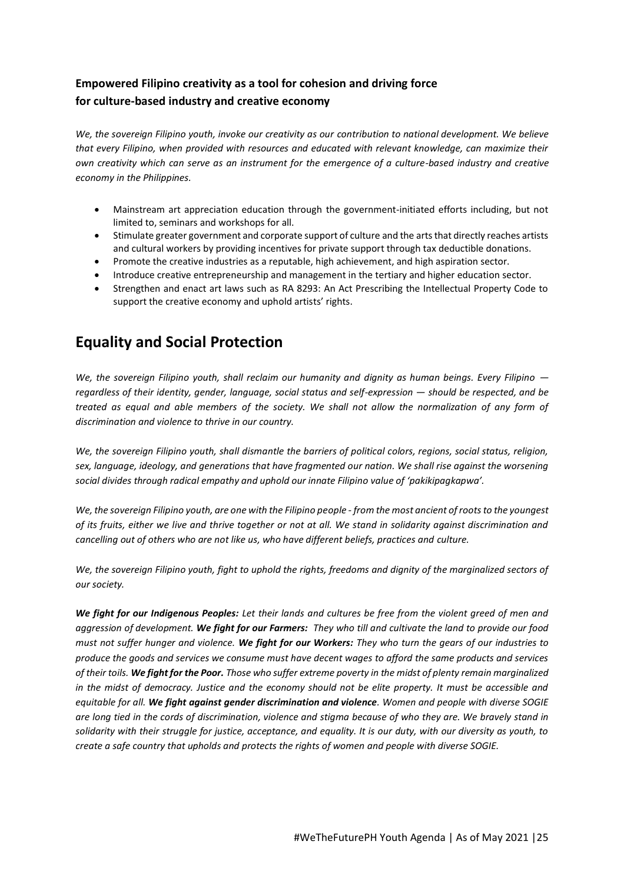# **Empowered Filipino creativity as a tool for cohesion and driving force for culture-based industry and creative economy**

*We, the sovereign Filipino youth, invoke our creativity as our contribution to national development. We believe that every Filipino, when provided with resources and educated with relevant knowledge, can maximize their own creativity which can serve as an instrument for the emergence of a culture-based industry and creative economy in the Philippines.*

- Mainstream art appreciation education through the government-initiated efforts including, but not limited to, seminars and workshops for all.
- Stimulate greater government and corporate support of culture and the arts that directly reaches artists and cultural workers by providing incentives for private support through tax deductible donations.
- Promote the creative industries as a reputable, high achievement, and high aspiration sector.
- Introduce creative entrepreneurship and management in the tertiary and higher education sector.
- Strengthen and enact art laws such as RA 8293: An Act Prescribing the Intellectual Property Code to support the creative economy and uphold artists' rights.

# **Equality and Social Protection**

*We, the sovereign Filipino youth, shall reclaim our humanity and dignity as human beings. Every Filipino regardless of their identity, gender, language, social status and self-expression — should be respected, and be treated as equal and able members of the society. We shall not allow the normalization of any form of discrimination and violence to thrive in our country.*

*We, the sovereign Filipino youth, shall dismantle the barriers of political colors, regions, social status, religion, sex, language, ideology, and generations that have fragmented our nation. We shall rise against the worsening social divides through radical empathy and uphold our innate Filipino value of 'pakikipagkapwa'.* 

*We, the sovereign Filipino youth, are one with the Filipino people - from the most ancient of roots to the youngest of its fruits, either we live and thrive together or not at all. We stand in solidarity against discrimination and cancelling out of others who are not like us, who have different beliefs, practices and culture.*

*We, the sovereign Filipino youth, fight to uphold the rights, freedoms and dignity of the marginalized sectors of our society.*

*We fight for our Indigenous Peoples: Let their lands and cultures be free from the violent greed of men and aggression of development. We fight for our Farmers: They who till and cultivate the land to provide our food must not suffer hunger and violence. We fight for our Workers: They who turn the gears of our industries to produce the goods and services we consume must have decent wages to afford the same products and services of their toils. We fight for the Poor. Those who suffer extreme poverty in the midst of plenty remain marginalized in the midst of democracy. Justice and the economy should not be elite property. It must be accessible and equitable for all. We fight against gender discrimination and violence. Women and people with diverse SOGIE are long tied in the cords of discrimination, violence and stigma because of who they are. We bravely stand in solidarity with their struggle for justice, acceptance, and equality. It is our duty, with our diversity as youth, to create a safe country that upholds and protects the rights of women and people with diverse SOGIE.*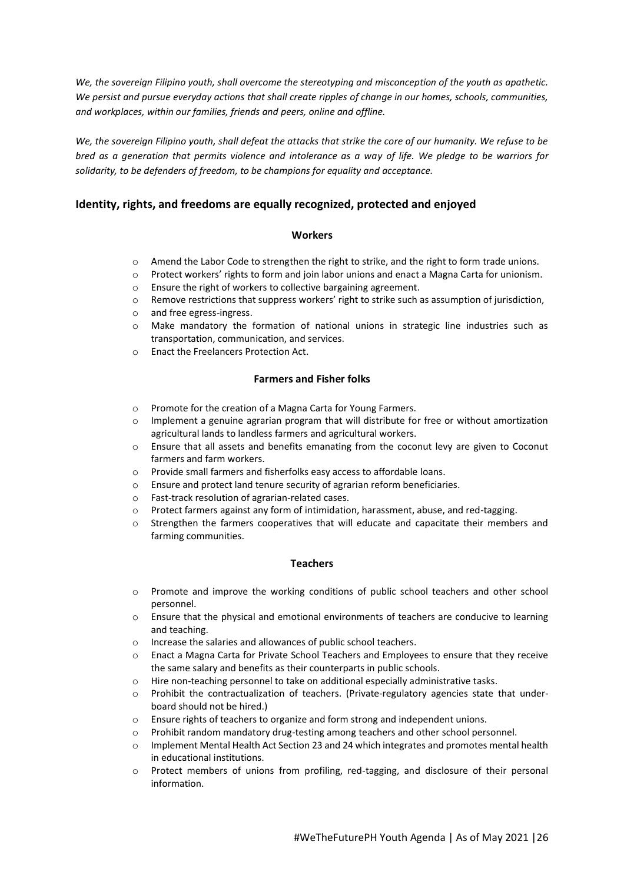*We, the sovereign Filipino youth, shall overcome the stereotyping and misconception of the youth as apathetic. We persist and pursue everyday actions that shall create ripples of change in our homes, schools, communities, and workplaces, within our families, friends and peers, online and offline.* 

*We, the sovereign Filipino youth, shall defeat the attacks that strike the core of our humanity. We refuse to be bred as a generation that permits violence and intolerance as a way of life. We pledge to be warriors for solidarity, to be defenders of freedom, to be champions for equality and acceptance.* 

#### **Identity, rights, and freedoms are equally recognized, protected and enjoyed**

#### **Workers**

- $\circ$  Amend the Labor Code to strengthen the right to strike, and the right to form trade unions.
- o Protect workers' rights to form and join labor unions and enact a Magna Carta for unionism.
- o Ensure the right of workers to collective bargaining agreement.
- o Remove restrictions that suppress workers' right to strike such as assumption of jurisdiction,
- o and free egress-ingress.
- o Make mandatory the formation of national unions in strategic line industries such as transportation, communication, and services.
- o Enact the Freelancers Protection Act.

#### **Farmers and Fisher folks**

- o Promote for the creation of a Magna Carta for Young Farmers.
- $\circ$  Implement a genuine agrarian program that will distribute for free or without amortization agricultural lands to landless farmers and agricultural workers.
- o Ensure that all assets and benefits emanating from the coconut levy are given to Coconut farmers and farm workers.
- o Provide small farmers and fisherfolks easy access to affordable loans.
- o Ensure and protect land tenure security of agrarian reform beneficiaries.
- o Fast-track resolution of agrarian-related cases.
- o Protect farmers against any form of intimidation, harassment, abuse, and red-tagging.
- $\circ$  Strengthen the farmers cooperatives that will educate and capacitate their members and farming communities.

#### **Teachers**

- o Promote and improve the working conditions of public school teachers and other school personnel.
- $\circ$  Ensure that the physical and emotional environments of teachers are conducive to learning and teaching.
- o Increase the salaries and allowances of public school teachers.
- o Enact a Magna Carta for Private School Teachers and Employees to ensure that they receive the same salary and benefits as their counterparts in public schools.
- o Hire non-teaching personnel to take on additional especially administrative tasks.
- o Prohibit the contractualization of teachers. (Private-regulatory agencies state that underboard should not be hired.)
- o Ensure rights of teachers to organize and form strong and independent unions.
- o Prohibit random mandatory drug-testing among teachers and other school personnel.
- o Implement Mental Health Act Section 23 and 24 which integrates and promotes mental health in educational institutions.
- o Protect members of unions from profiling, red-tagging, and disclosure of their personal information.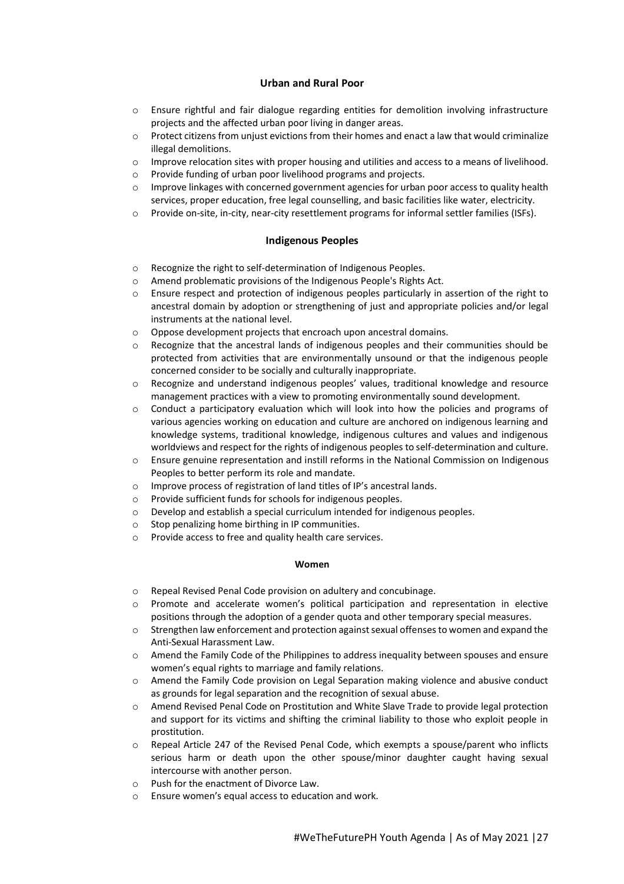#### **Urban and Rural Poor**

- $\circ$  Ensure rightful and fair dialogue regarding entities for demolition involving infrastructure projects and the affected urban poor living in danger areas.
- $\circ$  Protect citizens from unjust evictions from their homes and enact a law that would criminalize illegal demolitions.
- $\circ$  Improve relocation sites with proper housing and utilities and access to a means of livelihood.
- o Provide funding of urban poor livelihood programs and projects.
- $\circ$  Improve linkages with concerned government agencies for urban poor access to quality health services, proper education, free legal counselling, and basic facilities like water, electricity.
- o Provide on-site, in-city, near-city resettlement programs for informal settler families (ISFs).

#### **Indigenous Peoples**

- o Recognize the right to self-determination of Indigenous Peoples.
- o Amend problematic provisions of the Indigenous People's Rights Act.
- $\circ$  Ensure respect and protection of indigenous peoples particularly in assertion of the right to ancestral domain by adoption or strengthening of just and appropriate policies and/or legal instruments at the national level.
- o Oppose development projects that encroach upon ancestral domains.
- $\circ$  Recognize that the ancestral lands of indigenous peoples and their communities should be protected from activities that are environmentally unsound or that the indigenous people concerned consider to be socially and culturally inappropriate.
- o Recognize and understand indigenous peoples' values, traditional knowledge and resource management practices with a view to promoting environmentally sound development.
- $\circ$  Conduct a participatory evaluation which will look into how the policies and programs of various agencies working on education and culture are anchored on indigenous learning and knowledge systems, traditional knowledge, indigenous cultures and values and indigenous worldviews and respect for the rights of indigenous peoples to self-determination and culture.
- o Ensure genuine representation and instill reforms in the National Commission on Indigenous Peoples to better perform its role and mandate.
- o Improve process of registration of land titles of IP's ancestral lands.
- o Provide sufficient funds for schools for indigenous peoples.
- o Develop and establish a special curriculum intended for indigenous peoples.
- o Stop penalizing home birthing in IP communities.
- o Provide access to free and quality health care services.

#### **Women**

- o Repeal Revised Penal Code provision on adultery and concubinage.
- o Promote and accelerate women's political participation and representation in elective positions through the adoption of a gender quota and other temporary special measures.
- $\circ$  Strengthen law enforcement and protection against sexual offenses to women and expand the Anti-Sexual Harassment Law.
- o Amend the Family Code of the Philippines to address inequality between spouses and ensure women's equal rights to marriage and family relations.
- o Amend the Family Code provision on Legal Separation making violence and abusive conduct as grounds for legal separation and the recognition of sexual abuse.
- o Amend Revised Penal Code on Prostitution and White Slave Trade to provide legal protection and support for its victims and shifting the criminal liability to those who exploit people in prostitution.
- o Repeal Article 247 of the Revised Penal Code, which exempts a spouse/parent who inflicts serious harm or death upon the other spouse/minor daughter caught having sexual intercourse with another person.
- o Push for the enactment of Divorce Law.
- Ensure women's equal access to education and work.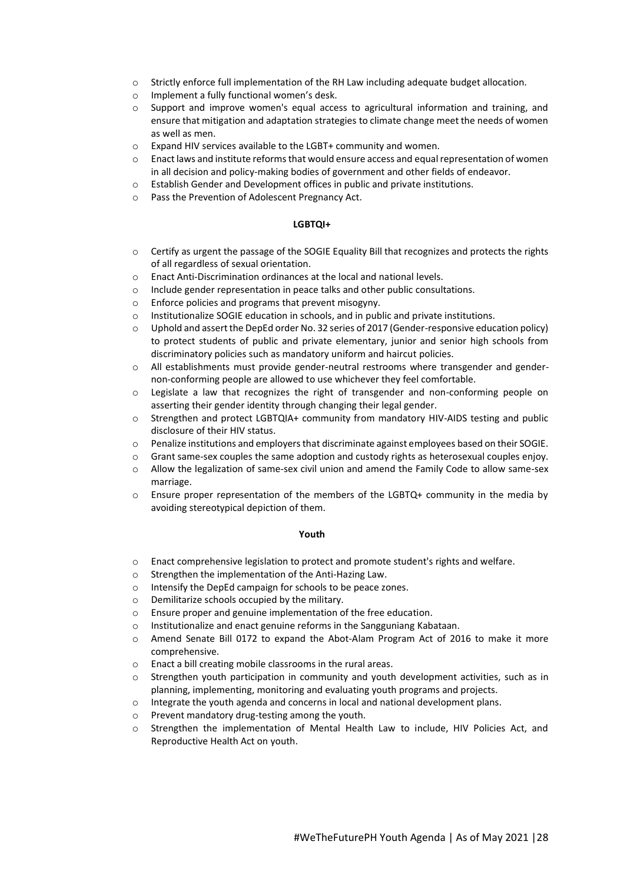- o Strictly enforce full implementation of the RH Law including adequate budget allocation.
- o Implement a fully functional women's desk.
- o Support and improve women's equal access to agricultural information and training, and ensure that mitigation and adaptation strategies to climate change meet the needs of women as well as men.
- o Expand HIV services available to the LGBT+ community and women.
- $\circ$  Enact laws and institute reforms that would ensure access and equal representation of women in all decision and policy-making bodies of government and other fields of endeavor.
- o Establish Gender and Development offices in public and private institutions.
- o Pass the Prevention of Adolescent Pregnancy Act.

#### **LGBTQI+**

- o Certify as urgent the passage of the SOGIE Equality Bill that recognizes and protects the rights of all regardless of sexual orientation.
- o Enact Anti-Discrimination ordinances at the local and national levels.
- o Include gender representation in peace talks and other public consultations.
- o Enforce policies and programs that prevent misogyny.
- o Institutionalize SOGIE education in schools, and in public and private institutions.
- $\circ$  Uphold and assert the DepEd order No. 32 series of 2017 (Gender-responsive education policy) to protect students of public and private elementary, junior and senior high schools from discriminatory policies such as mandatory uniform and haircut policies.
- o All establishments must provide gender-neutral restrooms where transgender and gendernon-conforming people are allowed to use whichever they feel comfortable.
- o Legislate a law that recognizes the right of transgender and non-conforming people on asserting their gender identity through changing their legal gender.
- o Strengthen and protect LGBTQIA+ community from mandatory HIV-AIDS testing and public disclosure of their HIV status.
- o Penalize institutions and employers that discriminate against employees based on their SOGIE.
- $\circ$  Grant same-sex couples the same adoption and custody rights as heterosexual couples enjoy.
- o Allow the legalization of same-sex civil union and amend the Family Code to allow same-sex marriage.
- $\circ$  Ensure proper representation of the members of the LGBTQ+ community in the media by avoiding stereotypical depiction of them.

#### **Youth**

- o Enact comprehensive legislation to protect and promote student's rights and welfare.
- o Strengthen the implementation of the Anti-Hazing Law.
- o Intensify the DepEd campaign for schools to be peace zones.
- o Demilitarize schools occupied by the military.
- o Ensure proper and genuine implementation of the free education.
- o Institutionalize and enact genuine reforms in the Sangguniang Kabataan.
- o Amend Senate Bill 0172 to expand the Abot-Alam Program Act of 2016 to make it more comprehensive.
- o Enact a bill creating mobile classrooms in the rural areas.
- $\circ$  Strengthen youth participation in community and youth development activities, such as in planning, implementing, monitoring and evaluating youth programs and projects.
- o Integrate the youth agenda and concerns in local and national development plans.
- o Prevent mandatory drug-testing among the youth.
- o Strengthen the implementation of Mental Health Law to include, HIV Policies Act, and Reproductive Health Act on youth.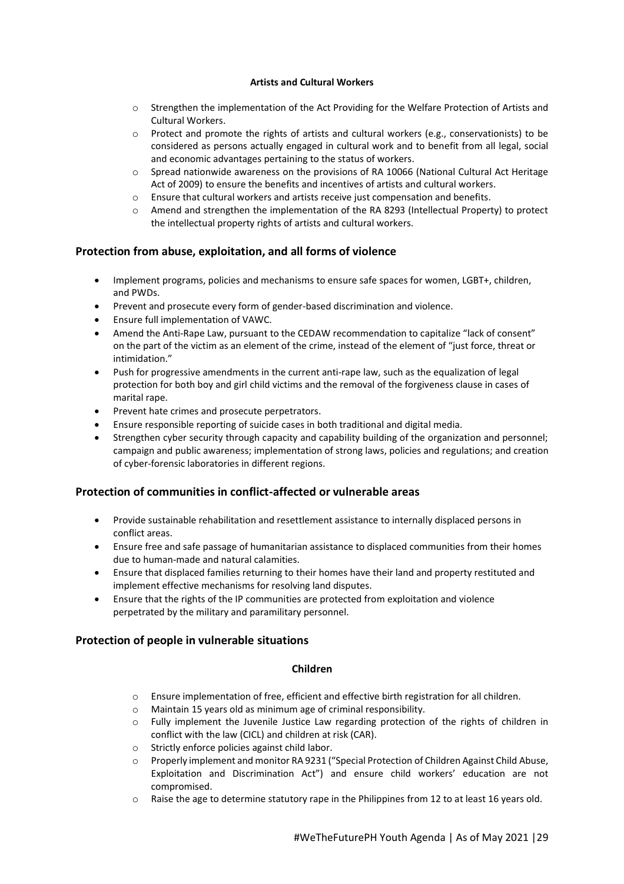#### **Artists and Cultural Workers**

- o Strengthen the implementation of the Act Providing for the Welfare Protection of Artists and Cultural Workers.
- $\circ$  Protect and promote the rights of artists and cultural workers (e.g., conservationists) to be considered as persons actually engaged in cultural work and to benefit from all legal, social and economic advantages pertaining to the status of workers.
- $\circ$  Spread nationwide awareness on the provisions of RA 10066 (National Cultural Act Heritage Act of 2009) to ensure the benefits and incentives of artists and cultural workers.
- $\circ$  Ensure that cultural workers and artists receive just compensation and benefits.
- o Amend and strengthen the implementation of the RA 8293 (Intellectual Property) to protect the intellectual property rights of artists and cultural workers.

### **Protection from abuse, exploitation, and all forms of violence**

- Implement programs, policies and mechanisms to ensure safe spaces for women, LGBT+, children, and PWDs.
- Prevent and prosecute every form of gender-based discrimination and violence.
- Ensure full implementation of VAWC.
- Amend the Anti-Rape Law, pursuant to the CEDAW recommendation to capitalize "lack of consent" on the part of the victim as an element of the crime, instead of the element of "just force, threat or intimidation."
- Push for progressive amendments in the current anti-rape law, such as the equalization of legal protection for both boy and girl child victims and the removal of the forgiveness clause in cases of marital rape.
- Prevent hate crimes and prosecute perpetrators.
- Ensure responsible reporting of suicide cases in both traditional and digital media.
- Strengthen cyber security through capacity and capability building of the organization and personnel; campaign and public awareness; implementation of strong laws, policies and regulations; and creation of cyber-forensic laboratories in different regions.

### **Protection of communities in conflict-affected or vulnerable areas**

- Provide sustainable rehabilitation and resettlement assistance to internally displaced persons in conflict areas.
- Ensure free and safe passage of humanitarian assistance to displaced communities from their homes due to human-made and natural calamities.
- Ensure that displaced families returning to their homes have their land and property restituted and implement effective mechanisms for resolving land disputes.
- Ensure that the rights of the IP communities are protected from exploitation and violence perpetrated by the military and paramilitary personnel.

### **Protection of people in vulnerable situations**

#### **Children**

- o Ensure implementation of free, efficient and effective birth registration for all children.
- o Maintain 15 years old as minimum age of criminal responsibility.
- o Fully implement the Juvenile Justice Law regarding protection of the rights of children in conflict with the law (CICL) and children at risk (CAR).
- o Strictly enforce policies against child labor.
- o Properly implement and monitor RA 9231 ("Special Protection of Children Against Child Abuse, Exploitation and Discrimination Act") and ensure child workers' education are not compromised.
- $\circ$  Raise the age to determine statutory rape in the Philippines from 12 to at least 16 years old.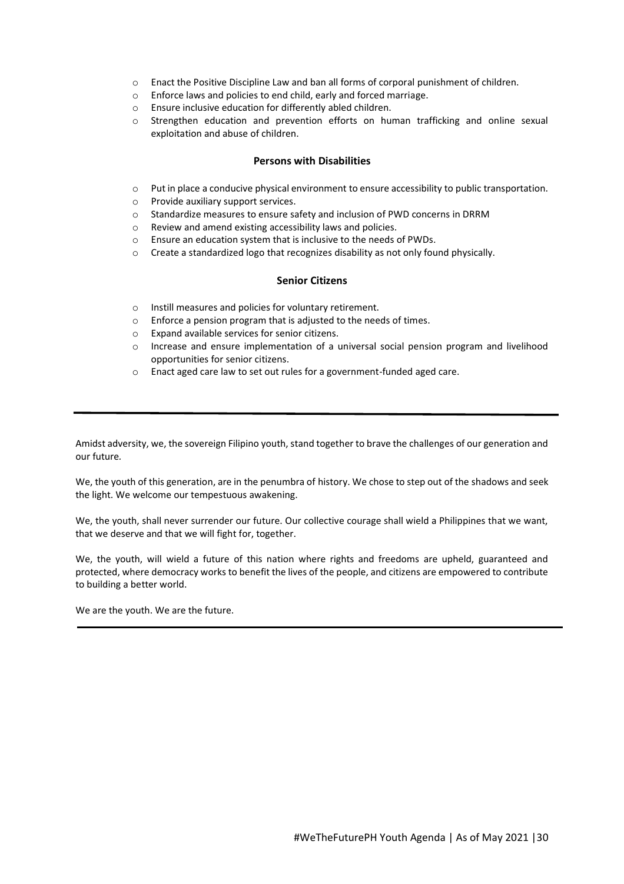- o Enact the Positive Discipline Law and ban all forms of corporal punishment of children.
- o Enforce laws and policies to end child, early and forced marriage.
- o Ensure inclusive education for differently abled children.
- $\circ$  Strengthen education and prevention efforts on human trafficking and online sexual exploitation and abuse of children.

#### **Persons with Disabilities**

- o Put in place a conducive physical environment to ensure accessibility to public transportation.
- o Provide auxiliary support services.
- o Standardize measures to ensure safety and inclusion of PWD concerns in DRRM
- o Review and amend existing accessibility laws and policies.
- o Ensure an education system that is inclusive to the needs of PWDs.
- o Create a standardized logo that recognizes disability as not only found physically.

#### **Senior Citizens**

- o Instill measures and policies for voluntary retirement.
- o Enforce a pension program that is adjusted to the needs of times.
- o Expand available services for senior citizens.
- o Increase and ensure implementation of a universal social pension program and livelihood opportunities for senior citizens.
- o Enact aged care law to set out rules for a government-funded aged care.

Amidst adversity, we, the sovereign Filipino youth, stand together to brave the challenges of our generation and our future*.*

We, the youth of this generation, are in the penumbra of history. We chose to step out of the shadows and seek the light. We welcome our tempestuous awakening.

We, the youth, shall never surrender our future. Our collective courage shall wield a Philippines that we want, that we deserve and that we will fight for, together.

We, the youth, will wield a future of this nation where rights and freedoms are upheld, guaranteed and protected, where democracy works to benefit the lives of the people, and citizens are empowered to contribute to building a better world.

We are the youth. We are the future.